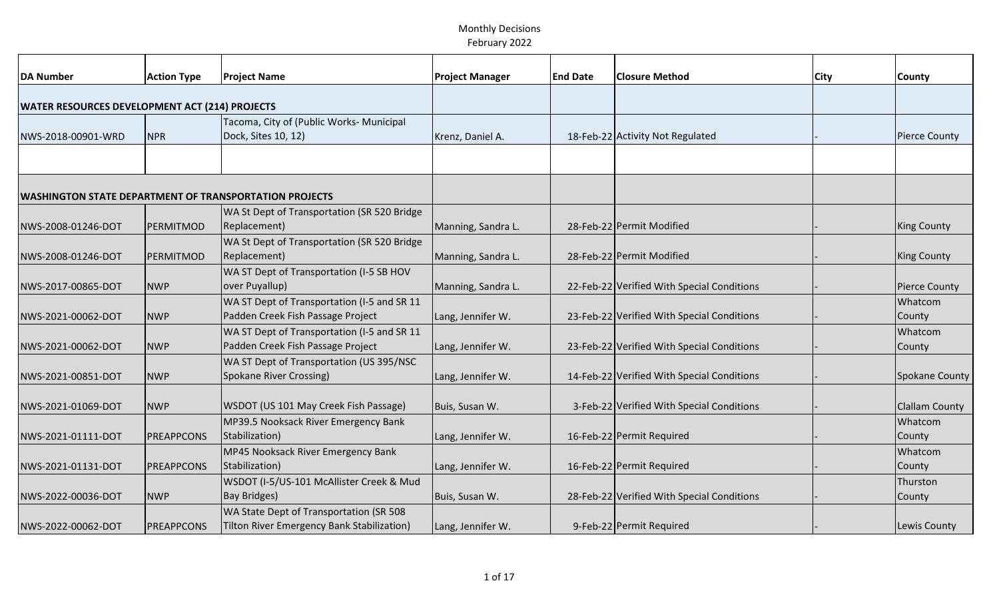| <b>DA Number</b>                                              | <b>Action Type</b> | <b>Project Name</b>                         | <b>Project Manager</b> | <b>End Date</b> | <b>Closure Method</b>                      | <b>City</b> | <b>County</b>         |
|---------------------------------------------------------------|--------------------|---------------------------------------------|------------------------|-----------------|--------------------------------------------|-------------|-----------------------|
| <b>WATER RESOURCES DEVELOPMENT ACT (214) PROJECTS</b>         |                    |                                             |                        |                 |                                            |             |                       |
|                                                               |                    | Tacoma, City of (Public Works- Municipal    |                        |                 |                                            |             |                       |
| NWS-2018-00901-WRD                                            | <b>NPR</b>         | Dock, Sites 10, 12)                         | Krenz, Daniel A.       |                 | 18-Feb-22 Activity Not Regulated           |             | <b>Pierce County</b>  |
|                                                               |                    |                                             |                        |                 |                                            |             |                       |
|                                                               |                    |                                             |                        |                 |                                            |             |                       |
| <b>WASHINGTON STATE DEPARTMENT OF TRANSPORTATION PROJECTS</b> |                    |                                             |                        |                 |                                            |             |                       |
|                                                               |                    | WA St Dept of Transportation (SR 520 Bridge |                        |                 |                                            |             |                       |
| NWS-2008-01246-DOT                                            | PERMITMOD          | Replacement)                                | Manning, Sandra L.     |                 | 28-Feb-22 Permit Modified                  |             | <b>King County</b>    |
|                                                               |                    | WA St Dept of Transportation (SR 520 Bridge |                        |                 |                                            |             |                       |
| NWS-2008-01246-DOT                                            | PERMITMOD          | Replacement)                                | Manning, Sandra L.     |                 | 28-Feb-22 Permit Modified                  |             | <b>King County</b>    |
|                                                               |                    | WA ST Dept of Transportation (I-5 SB HOV    |                        |                 |                                            |             |                       |
| NWS-2017-00865-DOT                                            | <b>NWP</b>         | over Puyallup)                              | Manning, Sandra L.     |                 | 22-Feb-22 Verified With Special Conditions |             | <b>Pierce County</b>  |
|                                                               |                    | WA ST Dept of Transportation (I-5 and SR 11 |                        |                 |                                            |             | Whatcom               |
| NWS-2021-00062-DOT                                            | <b>NWP</b>         | Padden Creek Fish Passage Project           | Lang, Jennifer W.      |                 | 23-Feb-22 Verified With Special Conditions |             | County                |
|                                                               |                    | WA ST Dept of Transportation (I-5 and SR 11 |                        |                 |                                            |             | Whatcom               |
| NWS-2021-00062-DOT                                            | <b>NWP</b>         | Padden Creek Fish Passage Project           | Lang, Jennifer W.      |                 | 23-Feb-22 Verified With Special Conditions |             | County                |
|                                                               |                    | WA ST Dept of Transportation (US 395/NSC    |                        |                 |                                            |             |                       |
| NWS-2021-00851-DOT                                            | <b>NWP</b>         | Spokane River Crossing)                     | Lang, Jennifer W.      |                 | 14-Feb-22 Verified With Special Conditions |             | Spokane County        |
|                                                               |                    |                                             |                        |                 |                                            |             |                       |
| NWS-2021-01069-DOT                                            | <b>NWP</b>         | WSDOT (US 101 May Creek Fish Passage)       | Buis, Susan W.         |                 | 3-Feb-22 Verified With Special Conditions  |             | <b>Clallam County</b> |
|                                                               |                    | MP39.5 Nooksack River Emergency Bank        |                        |                 |                                            |             | Whatcom               |
| NWS-2021-01111-DOT                                            | PREAPPCONS         | Stabilization)                              | Lang, Jennifer W.      |                 | 16-Feb-22 Permit Required                  |             | County                |
|                                                               |                    | MP45 Nooksack River Emergency Bank          |                        |                 |                                            |             | Whatcom               |
| NWS-2021-01131-DOT                                            | PREAPPCONS         | Stabilization)                              | Lang, Jennifer W.      |                 | 16-Feb-22 Permit Required                  |             | County                |
|                                                               |                    | WSDOT (I-5/US-101 McAllister Creek & Mud    |                        |                 |                                            |             | Thurston              |
| NWS-2022-00036-DOT                                            | <b>NWP</b>         | <b>Bay Bridges)</b>                         | Buis, Susan W.         |                 | 28-Feb-22 Verified With Special Conditions |             | County                |
|                                                               |                    | WA State Dept of Transportation (SR 508     |                        |                 |                                            |             |                       |
| NWS-2022-00062-DOT                                            | <b>PREAPPCONS</b>  | Tilton River Emergency Bank Stabilization)  | Lang, Jennifer W.      |                 | 9-Feb-22 Permit Required                   |             | Lewis County          |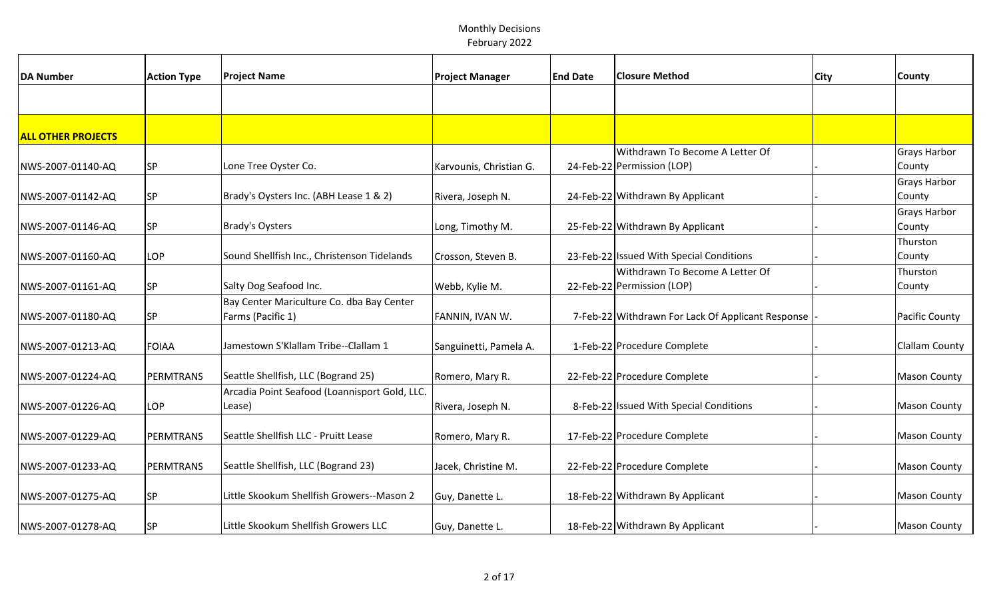| <b>DA Number</b>          | <b>Action Type</b> | <b>Project Name</b>                                            | <b>Project Manager</b>  | <b>End Date</b> | <b>Closure Method</b>                                         | <b>City</b> | <b>County</b>                 |
|---------------------------|--------------------|----------------------------------------------------------------|-------------------------|-----------------|---------------------------------------------------------------|-------------|-------------------------------|
|                           |                    |                                                                |                         |                 |                                                               |             |                               |
| <b>ALL OTHER PROJECTS</b> |                    |                                                                |                         |                 |                                                               |             |                               |
| NWS-2007-01140-AQ         | <b>SP</b>          | Lone Tree Oyster Co.                                           | Karvounis, Christian G. |                 | Withdrawn To Become A Letter Of<br>24-Feb-22 Permission (LOP) |             | <b>Grays Harbor</b><br>County |
| NWS-2007-01142-AQ         | <b>SP</b>          | Brady's Oysters Inc. (ABH Lease 1 & 2)                         | Rivera, Joseph N.       |                 | 24-Feb-22 Withdrawn By Applicant                              |             | <b>Grays Harbor</b><br>County |
| NWS-2007-01146-AQ         | <b>SP</b>          | Brady's Oysters                                                | Long, Timothy M.        |                 | 25-Feb-22 Withdrawn By Applicant                              |             | <b>Grays Harbor</b><br>County |
| NWS-2007-01160-AQ         | <b>LOP</b>         | Sound Shellfish Inc., Christenson Tidelands                    | Crosson, Steven B.      |                 | 23-Feb-22 Issued With Special Conditions                      |             | Thurston<br>County            |
| NWS-2007-01161-AQ         | <b>SP</b>          | Salty Dog Seafood Inc.                                         | Webb, Kylie M.          |                 | Withdrawn To Become A Letter Of<br>22-Feb-22 Permission (LOP) |             | Thurston<br>County            |
| NWS-2007-01180-AQ         | <b>SP</b>          | Bay Center Mariculture Co. dba Bay Center<br>Farms (Pacific 1) | FANNIN, IVAN W.         |                 | 7-Feb-22 Withdrawn For Lack Of Applicant Response             |             | <b>Pacific County</b>         |
| NWS-2007-01213-AQ         | <b>FOIAA</b>       | Jamestown S'Klallam Tribe--Clallam 1                           | Sanguinetti, Pamela A.  |                 | 1-Feb-22 Procedure Complete                                   |             | <b>Clallam County</b>         |
| NWS-2007-01224-AQ         | <b>PERMTRANS</b>   | Seattle Shellfish, LLC (Bogrand 25)                            | Romero, Mary R.         |                 | 22-Feb-22 Procedure Complete                                  |             | <b>Mason County</b>           |
| NWS-2007-01226-AQ         | LOP                | Arcadia Point Seafood (Loannisport Gold, LLC.<br>Lease)        | Rivera, Joseph N.       |                 | 8-Feb-22 Issued With Special Conditions                       |             | <b>Mason County</b>           |
| NWS-2007-01229-AQ         | PERMTRANS          | Seattle Shellfish LLC - Pruitt Lease                           | Romero, Mary R.         |                 | 17-Feb-22 Procedure Complete                                  |             | <b>Mason County</b>           |
| NWS-2007-01233-AQ         | <b>PERMTRANS</b>   | Seattle Shellfish, LLC (Bogrand 23)                            | Jacek, Christine M.     |                 | 22-Feb-22 Procedure Complete                                  |             | <b>Mason County</b>           |
| NWS-2007-01275-AQ         | SP                 | Little Skookum Shellfish Growers--Mason 2                      | Guy, Danette L.         |                 | 18-Feb-22 Withdrawn By Applicant                              |             | <b>Mason County</b>           |
| NWS-2007-01278-AQ         | <b>SP</b>          | Little Skookum Shellfish Growers LLC                           | Guy, Danette L.         |                 | 18-Feb-22 Withdrawn By Applicant                              |             | <b>Mason County</b>           |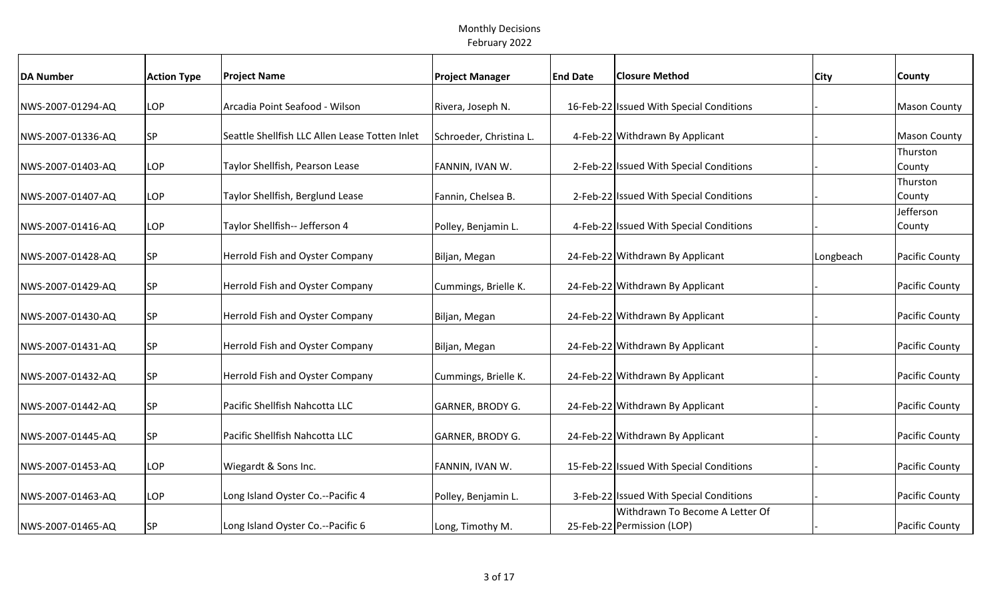| <b>DA Number</b>  | <b>Action Type</b> | <b>Project Name</b>                            | <b>Project Manager</b>  | <b>End Date</b> | <b>Closure Method</b>                    | <b>City</b> | <b>County</b>         |
|-------------------|--------------------|------------------------------------------------|-------------------------|-----------------|------------------------------------------|-------------|-----------------------|
|                   |                    |                                                |                         |                 |                                          |             |                       |
| NWS-2007-01294-AQ | LOP                | Arcadia Point Seafood - Wilson                 | Rivera, Joseph N.       |                 | 16-Feb-22 Issued With Special Conditions |             | <b>Mason County</b>   |
|                   |                    |                                                |                         |                 |                                          |             |                       |
| NWS-2007-01336-AQ | <b>SP</b>          | Seattle Shellfish LLC Allen Lease Totten Inlet | Schroeder, Christina L. |                 | 4-Feb-22 Withdrawn By Applicant          |             | <b>Mason County</b>   |
|                   |                    |                                                |                         |                 |                                          |             | Thurston              |
| NWS-2007-01403-AQ | LOP                | Taylor Shellfish, Pearson Lease                | FANNIN, IVAN W.         |                 | 2-Feb-22 Issued With Special Conditions  |             | County                |
| NWS-2007-01407-AQ | LOP                | Taylor Shellfish, Berglund Lease               | Fannin, Chelsea B.      |                 | 2-Feb-22 Issued With Special Conditions  |             | Thurston              |
|                   |                    |                                                |                         |                 |                                          |             | County<br>Jefferson   |
| NWS-2007-01416-AQ | LOP                | Taylor Shellfish-- Jefferson 4                 | Polley, Benjamin L.     |                 | 4-Feb-22 Issued With Special Conditions  |             | County                |
|                   |                    |                                                |                         |                 |                                          |             |                       |
| NWS-2007-01428-AQ | <b>SP</b>          | Herrold Fish and Oyster Company                | Biljan, Megan           |                 | 24-Feb-22 Withdrawn By Applicant         | Longbeach   | <b>Pacific County</b> |
|                   |                    |                                                |                         |                 |                                          |             |                       |
| NWS-2007-01429-AQ | SP                 | Herrold Fish and Oyster Company                | Cummings, Brielle K.    |                 | 24-Feb-22 Withdrawn By Applicant         |             | Pacific County        |
|                   |                    |                                                |                         |                 |                                          |             |                       |
| NWS-2007-01430-AQ | SP                 | Herrold Fish and Oyster Company                | Biljan, Megan           |                 | 24-Feb-22 Withdrawn By Applicant         |             | <b>Pacific County</b> |
|                   |                    |                                                |                         |                 |                                          |             |                       |
| NWS-2007-01431-AQ | <b>SP</b>          | <b>Herrold Fish and Oyster Company</b>         | Biljan, Megan           |                 | 24-Feb-22 Withdrawn By Applicant         |             | <b>Pacific County</b> |
|                   |                    |                                                |                         |                 |                                          |             |                       |
| NWS-2007-01432-AQ | SP                 | <b>Herrold Fish and Oyster Company</b>         | Cummings, Brielle K.    |                 | 24-Feb-22 Withdrawn By Applicant         |             | Pacific County        |
| NWS-2007-01442-AQ | SP                 | Pacific Shellfish Nahcotta LLC                 | GARNER, BRODY G.        |                 | 24-Feb-22 Withdrawn By Applicant         |             | <b>Pacific County</b> |
|                   |                    |                                                |                         |                 |                                          |             |                       |
| NWS-2007-01445-AQ | <b>SP</b>          | Pacific Shellfish Nahcotta LLC                 | GARNER, BRODY G.        |                 | 24-Feb-22 Withdrawn By Applicant         |             | <b>Pacific County</b> |
|                   |                    |                                                |                         |                 |                                          |             |                       |
| NWS-2007-01453-AQ | LOP                | Wiegardt & Sons Inc.                           | FANNIN, IVAN W.         |                 | 15-Feb-22 Issued With Special Conditions |             | Pacific County        |
|                   |                    |                                                |                         |                 |                                          |             |                       |
| NWS-2007-01463-AQ | LOP                | Long Island Oyster Co.--Pacific 4              | Polley, Benjamin L.     |                 | 3-Feb-22 Issued With Special Conditions  |             | Pacific County        |
|                   |                    |                                                |                         |                 | Withdrawn To Become A Letter Of          |             |                       |
| NWS-2007-01465-AQ | SP                 | Long Island Oyster Co.--Pacific 6              | Long, Timothy M.        |                 | 25-Feb-22 Permission (LOP)               |             | <b>Pacific County</b> |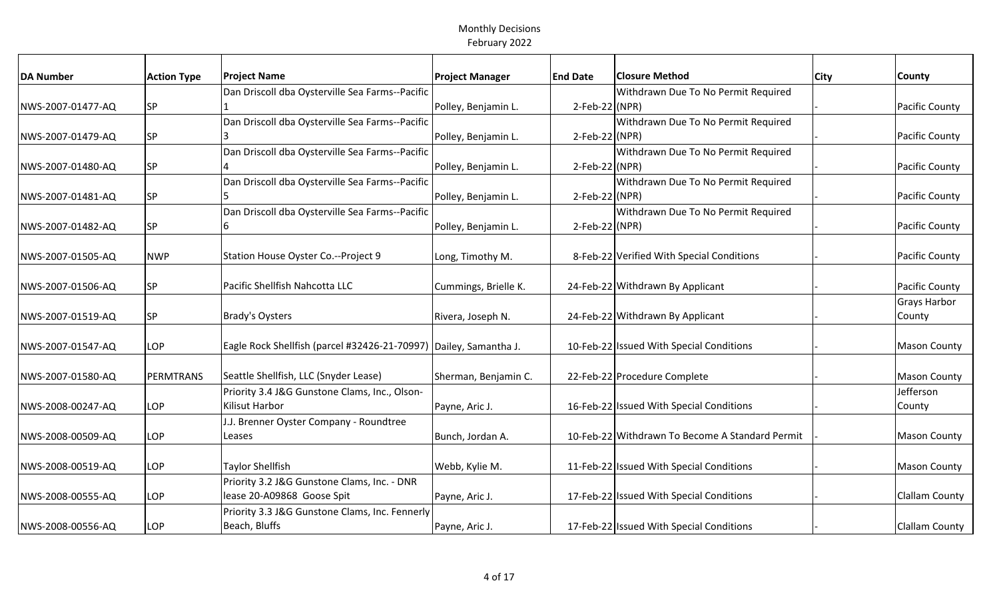| <b>DA Number</b>  | <b>Action Type</b> | <b>Project Name</b>                                               | <b>Project Manager</b> | <b>End Date</b> | <b>Closure Method</b>                           | <b>City</b> | <b>County</b>         |
|-------------------|--------------------|-------------------------------------------------------------------|------------------------|-----------------|-------------------------------------------------|-------------|-----------------------|
|                   |                    | Dan Driscoll dba Oysterville Sea Farms--Pacific                   |                        |                 | Withdrawn Due To No Permit Required             |             |                       |
| NWS-2007-01477-AQ | <b>SP</b>          |                                                                   | Polley, Benjamin L.    | 2-Feb-22 (NPR)  |                                                 |             | <b>Pacific County</b> |
|                   |                    | Dan Driscoll dba Oysterville Sea Farms--Pacific                   |                        |                 | Withdrawn Due To No Permit Required             |             |                       |
| NWS-2007-01479-AQ | <b>SP</b>          |                                                                   | Polley, Benjamin L.    | 2-Feb-22 (NPR)  |                                                 |             | Pacific County        |
|                   |                    | Dan Driscoll dba Oysterville Sea Farms--Pacific                   |                        |                 | Withdrawn Due To No Permit Required             |             |                       |
| NWS-2007-01480-AQ | <b>SP</b>          |                                                                   | Polley, Benjamin L.    | 2-Feb-22 (NPR)  |                                                 |             | Pacific County        |
|                   |                    | Dan Driscoll dba Oysterville Sea Farms--Pacific                   |                        |                 | Withdrawn Due To No Permit Required             |             |                       |
| NWS-2007-01481-AQ | <b>SP</b>          |                                                                   | Polley, Benjamin L.    | 2-Feb-22 (NPR)  |                                                 |             | <b>Pacific County</b> |
|                   |                    | Dan Driscoll dba Oysterville Sea Farms--Pacific                   |                        |                 | Withdrawn Due To No Permit Required             |             |                       |
| NWS-2007-01482-AQ | <b>SP</b>          | 6                                                                 | Polley, Benjamin L.    | 2-Feb-22 (NPR)  |                                                 |             | <b>Pacific County</b> |
|                   |                    |                                                                   |                        |                 |                                                 |             |                       |
| NWS-2007-01505-AQ | <b>NWP</b>         | Station House Oyster Co.--Project 9                               | Long, Timothy M.       |                 | 8-Feb-22 Verified With Special Conditions       |             | <b>Pacific County</b> |
|                   |                    |                                                                   |                        |                 |                                                 |             |                       |
| NWS-2007-01506-AQ | <b>SP</b>          | Pacific Shellfish Nahcotta LLC                                    | Cummings, Brielle K.   |                 | 24-Feb-22 Withdrawn By Applicant                |             | Pacific County        |
|                   |                    |                                                                   |                        |                 |                                                 |             | <b>Grays Harbor</b>   |
| NWS-2007-01519-AQ | <b>SP</b>          | <b>Brady's Oysters</b>                                            | Rivera, Joseph N.      |                 | 24-Feb-22 Withdrawn By Applicant                |             | County                |
|                   |                    |                                                                   |                        |                 |                                                 |             |                       |
| NWS-2007-01547-AQ | LOP                | Eagle Rock Shellfish (parcel #32426-21-70997) Dailey, Samantha J. |                        |                 | 10-Feb-22 Issued With Special Conditions        |             | Mason County          |
|                   |                    |                                                                   |                        |                 |                                                 |             |                       |
| NWS-2007-01580-AQ | PERMTRANS          | Seattle Shellfish, LLC (Snyder Lease)                             | Sherman, Benjamin C.   |                 | 22-Feb-22 Procedure Complete                    |             | <b>Mason County</b>   |
|                   |                    | Priority 3.4 J&G Gunstone Clams, Inc., Olson-                     |                        |                 |                                                 |             | Jefferson             |
| NWS-2008-00247-AQ | LOP                | Kilisut Harbor                                                    | Payne, Aric J.         |                 | 16-Feb-22 Issued With Special Conditions        |             | County                |
|                   |                    | J.J. Brenner Oyster Company - Roundtree                           |                        |                 |                                                 |             |                       |
| NWS-2008-00509-AQ | LOP                | Leases                                                            | Bunch, Jordan A.       |                 | 10-Feb-22 Withdrawn To Become A Standard Permit |             | Mason County          |
|                   |                    |                                                                   |                        |                 |                                                 |             |                       |
| NWS-2008-00519-AQ | LOP                | <b>Taylor Shellfish</b>                                           | Webb, Kylie M.         |                 | 11-Feb-22 Issued With Special Conditions        |             | <b>Mason County</b>   |
|                   |                    | Priority 3.2 J&G Gunstone Clams, Inc. - DNR                       |                        |                 |                                                 |             |                       |
| NWS-2008-00555-AQ | LOP                | lease 20-A09868 Goose Spit                                        | Payne, Aric J.         |                 | 17-Feb-22 Issued With Special Conditions        |             | Clallam County        |
|                   |                    | Priority 3.3 J&G Gunstone Clams, Inc. Fennerly                    |                        |                 |                                                 |             |                       |
| NWS-2008-00556-AQ | LOP                | Beach, Bluffs                                                     | Payne, Aric J.         |                 | 17-Feb-22 Issued With Special Conditions        |             | Clallam County        |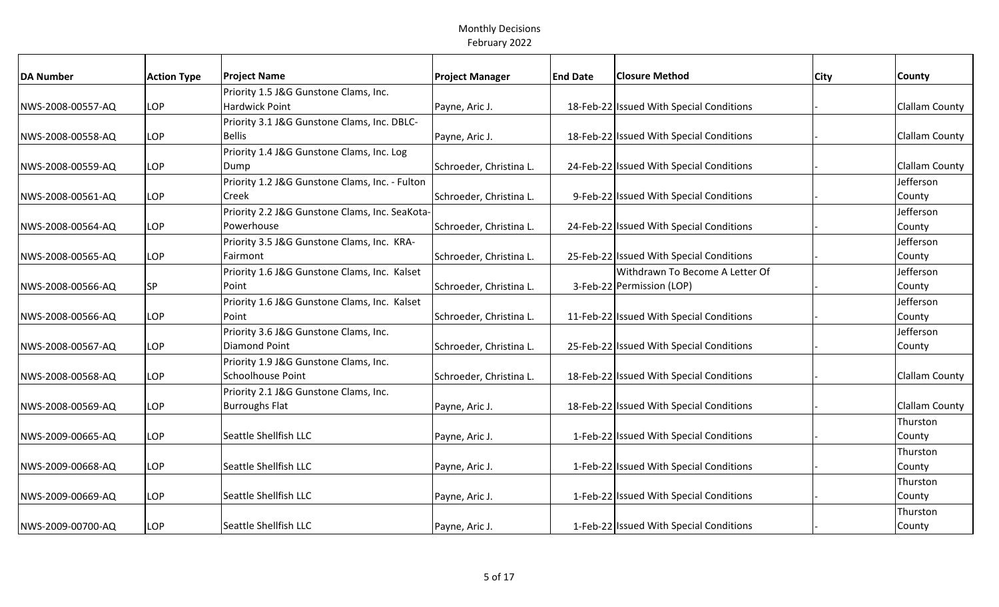| <b>DA Number</b>  | <b>Action Type</b> | <b>Project Name</b>                            | <b>Project Manager</b>  | <b>End Date</b> | <b>Closure Method</b>                    | City | <b>County</b>         |
|-------------------|--------------------|------------------------------------------------|-------------------------|-----------------|------------------------------------------|------|-----------------------|
|                   |                    | Priority 1.5 J&G Gunstone Clams, Inc.          |                         |                 |                                          |      |                       |
| NWS-2008-00557-AQ | LOP                | <b>Hardwick Point</b>                          | Payne, Aric J.          |                 | 18-Feb-22 Issued With Special Conditions |      | <b>Clallam County</b> |
|                   |                    | Priority 3.1 J&G Gunstone Clams, Inc. DBLC-    |                         |                 |                                          |      |                       |
| NWS-2008-00558-AQ | LOP                | <b>Bellis</b>                                  | Payne, Aric J.          |                 | 18-Feb-22 Issued With Special Conditions |      | <b>Clallam County</b> |
|                   |                    | Priority 1.4 J&G Gunstone Clams, Inc. Log      |                         |                 |                                          |      |                       |
| NWS-2008-00559-AQ | LOP                | Dump                                           | Schroeder, Christina L. |                 | 24-Feb-22 Issued With Special Conditions |      | <b>Clallam County</b> |
|                   |                    | Priority 1.2 J&G Gunstone Clams, Inc. - Fulton |                         |                 |                                          |      | Jefferson             |
| NWS-2008-00561-AQ | <b>LOP</b>         | Creek                                          | Schroeder, Christina L. |                 | 9-Feb-22 Issued With Special Conditions  |      | County                |
|                   |                    | Priority 2.2 J&G Gunstone Clams, Inc. SeaKota- |                         |                 |                                          |      | Jefferson             |
| NWS-2008-00564-AQ | LOP                | Powerhouse                                     | Schroeder, Christina L. |                 | 24-Feb-22 Issued With Special Conditions |      | County                |
|                   |                    | Priority 3.5 J&G Gunstone Clams, Inc. KRA-     |                         |                 |                                          |      | Jefferson             |
| NWS-2008-00565-AQ | <b>LOP</b>         | Fairmont                                       | Schroeder, Christina L. |                 | 25-Feb-22 Issued With Special Conditions |      | County                |
|                   |                    | Priority 1.6 J&G Gunstone Clams, Inc. Kalset   |                         |                 | Withdrawn To Become A Letter Of          |      | Jefferson             |
| NWS-2008-00566-AQ | <b>SP</b>          | Point                                          | Schroeder, Christina L. |                 | 3-Feb-22 Permission (LOP)                |      | County                |
|                   |                    | Priority 1.6 J&G Gunstone Clams, Inc. Kalset   |                         |                 |                                          |      | Jefferson             |
| NWS-2008-00566-AQ | LOP                | Point                                          | Schroeder, Christina L. |                 | 11-Feb-22 Issued With Special Conditions |      | County                |
|                   |                    | Priority 3.6 J&G Gunstone Clams, Inc.          |                         |                 |                                          |      | Jefferson             |
| NWS-2008-00567-AQ | <b>LOP</b>         | <b>Diamond Point</b>                           | Schroeder, Christina L. |                 | 25-Feb-22 Issued With Special Conditions |      | County                |
|                   |                    | Priority 1.9 J&G Gunstone Clams, Inc.          |                         |                 |                                          |      |                       |
| NWS-2008-00568-AQ | LOP                | Schoolhouse Point                              | Schroeder, Christina L. |                 | 18-Feb-22 Issued With Special Conditions |      | <b>Clallam County</b> |
|                   |                    | Priority 2.1 J&G Gunstone Clams, Inc.          |                         |                 |                                          |      |                       |
| NWS-2008-00569-AQ | LOP                | <b>Burroughs Flat</b>                          | Payne, Aric J.          |                 | 18-Feb-22 Issued With Special Conditions |      | <b>Clallam County</b> |
|                   |                    |                                                |                         |                 |                                          |      | Thurston              |
| NWS-2009-00665-AQ | LOP                | Seattle Shellfish LLC                          | Payne, Aric J.          |                 | 1-Feb-22 Issued With Special Conditions  |      | County                |
|                   |                    |                                                |                         |                 |                                          |      | Thurston              |
| NWS-2009-00668-AQ | <b>LOP</b>         | Seattle Shellfish LLC                          | Payne, Aric J.          |                 | 1-Feb-22 Issued With Special Conditions  |      | County                |
|                   |                    |                                                |                         |                 |                                          |      | Thurston              |
| NWS-2009-00669-AQ | LOP                | Seattle Shellfish LLC                          | Payne, Aric J.          |                 | 1-Feb-22 Issued With Special Conditions  |      | County                |
|                   |                    |                                                |                         |                 |                                          |      | Thurston              |
| NWS-2009-00700-AQ | LOP                | Seattle Shellfish LLC                          | Payne, Aric J.          |                 | 1-Feb-22 Issued With Special Conditions  |      | County                |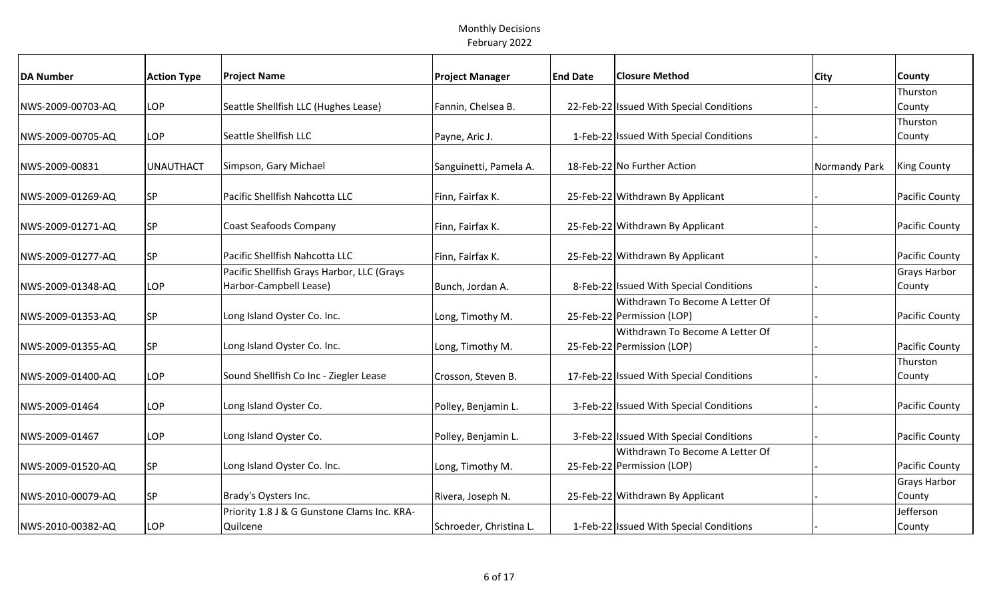| <b>DA Number</b>  | <b>Action Type</b> | <b>Project Name</b>                         | <b>Project Manager</b>  | <b>End Date</b> | <b>Closure Method</b>                    | <b>City</b>   | <b>County</b>         |
|-------------------|--------------------|---------------------------------------------|-------------------------|-----------------|------------------------------------------|---------------|-----------------------|
|                   |                    |                                             |                         |                 |                                          |               | Thurston              |
| NWS-2009-00703-AQ | <b>LOP</b>         | Seattle Shellfish LLC (Hughes Lease)        | Fannin, Chelsea B.      |                 | 22-Feb-22 Issued With Special Conditions |               | County                |
|                   |                    |                                             |                         |                 |                                          |               | Thurston              |
| NWS-2009-00705-AQ | LOP                | Seattle Shellfish LLC                       | Payne, Aric J.          |                 | 1-Feb-22 Issued With Special Conditions  |               | County                |
| NWS-2009-00831    | <b>UNAUTHACT</b>   | Simpson, Gary Michael                       | Sanguinetti, Pamela A.  |                 | 18-Feb-22 No Further Action              | Normandy Park | <b>King County</b>    |
|                   |                    |                                             |                         |                 |                                          |               |                       |
| NWS-2009-01269-AQ | <b>SP</b>          | Pacific Shellfish Nahcotta LLC              | Finn, Fairfax K.        |                 | 25-Feb-22 Withdrawn By Applicant         |               | Pacific County        |
|                   |                    |                                             |                         |                 |                                          |               |                       |
| NWS-2009-01271-AQ | <b>SP</b>          | Coast Seafoods Company                      | Finn, Fairfax K.        |                 | 25-Feb-22 Withdrawn By Applicant         |               | <b>Pacific County</b> |
|                   |                    |                                             |                         |                 |                                          |               |                       |
| NWS-2009-01277-AQ | <b>SP</b>          | Pacific Shellfish Nahcotta LLC              | Finn, Fairfax K.        |                 | 25-Feb-22 Withdrawn By Applicant         |               | <b>Pacific County</b> |
|                   |                    | Pacific Shellfish Grays Harbor, LLC (Grays  |                         |                 |                                          |               | <b>Grays Harbor</b>   |
| NWS-2009-01348-AQ | LOP                | Harbor-Campbell Lease)                      | Bunch, Jordan A.        |                 | 8-Feb-22 Issued With Special Conditions  |               | County                |
|                   |                    |                                             |                         |                 | Withdrawn To Become A Letter Of          |               |                       |
| NWS-2009-01353-AQ | <b>SP</b>          | Long Island Oyster Co. Inc.                 | Long, Timothy M.        |                 | 25-Feb-22 Permission (LOP)               |               | <b>Pacific County</b> |
|                   |                    |                                             |                         |                 | Withdrawn To Become A Letter Of          |               |                       |
| NWS-2009-01355-AQ | <b>SP</b>          | Long Island Oyster Co. Inc.                 | Long, Timothy M.        |                 | 25-Feb-22 Permission (LOP)               |               | <b>Pacific County</b> |
|                   |                    |                                             |                         |                 |                                          |               | Thurston              |
| NWS-2009-01400-AQ | LOP                | Sound Shellfish Co Inc - Ziegler Lease      | Crosson, Steven B.      |                 | 17-Feb-22 Issued With Special Conditions |               | County                |
| NWS-2009-01464    | LOP                | Long Island Oyster Co.                      | Polley, Benjamin L.     |                 | 3-Feb-22 Issued With Special Conditions  |               | <b>Pacific County</b> |
|                   |                    |                                             |                         |                 |                                          |               |                       |
| NWS-2009-01467    | <b>LOP</b>         | Long Island Oyster Co.                      | Polley, Benjamin L.     |                 | 3-Feb-22 Issued With Special Conditions  |               | <b>Pacific County</b> |
|                   |                    |                                             |                         |                 | Withdrawn To Become A Letter Of          |               |                       |
| NWS-2009-01520-AQ | <b>SP</b>          | Long Island Oyster Co. Inc.                 | Long, Timothy M.        |                 | 25-Feb-22 Permission (LOP)               |               | Pacific County        |
|                   |                    |                                             |                         |                 |                                          |               | <b>Grays Harbor</b>   |
| NWS-2010-00079-AQ | <b>SP</b>          | Brady's Oysters Inc.                        | Rivera, Joseph N.       |                 | 25-Feb-22 Withdrawn By Applicant         |               | County                |
|                   |                    | Priority 1.8 J & G Gunstone Clams Inc. KRA- |                         |                 |                                          |               | Jefferson             |
| NWS-2010-00382-AQ | LOP                | Quilcene                                    | Schroeder, Christina L. |                 | 1-Feb-22 Issued With Special Conditions  |               | County                |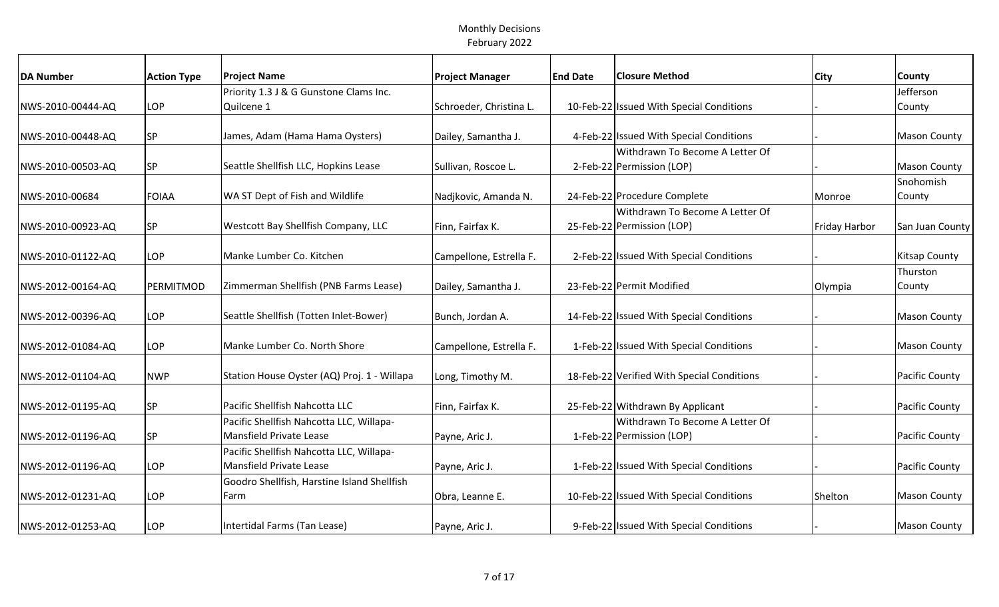| <b>Action Type</b> | <b>Project Name</b>                                                                                      | <b>Project Manager</b>                                                                                                                                                                                                                                                                                                                                                                                                                                                                                                                      | <b>End Date</b>                                                                                                                                                                                                                    | <b>Closure Method</b>           | City                                                                                                                                                                                                                                                                                                                                                                                                                                                                                                                                                                                                                                                                 | County                |
|--------------------|----------------------------------------------------------------------------------------------------------|---------------------------------------------------------------------------------------------------------------------------------------------------------------------------------------------------------------------------------------------------------------------------------------------------------------------------------------------------------------------------------------------------------------------------------------------------------------------------------------------------------------------------------------------|------------------------------------------------------------------------------------------------------------------------------------------------------------------------------------------------------------------------------------|---------------------------------|----------------------------------------------------------------------------------------------------------------------------------------------------------------------------------------------------------------------------------------------------------------------------------------------------------------------------------------------------------------------------------------------------------------------------------------------------------------------------------------------------------------------------------------------------------------------------------------------------------------------------------------------------------------------|-----------------------|
|                    | Priority 1.3 J & G Gunstone Clams Inc.                                                                   |                                                                                                                                                                                                                                                                                                                                                                                                                                                                                                                                             |                                                                                                                                                                                                                                    |                                 |                                                                                                                                                                                                                                                                                                                                                                                                                                                                                                                                                                                                                                                                      | Jefferson             |
| LOP                | Quilcene 1                                                                                               | Schroeder, Christina L.                                                                                                                                                                                                                                                                                                                                                                                                                                                                                                                     |                                                                                                                                                                                                                                    |                                 |                                                                                                                                                                                                                                                                                                                                                                                                                                                                                                                                                                                                                                                                      | County                |
|                    |                                                                                                          |                                                                                                                                                                                                                                                                                                                                                                                                                                                                                                                                             |                                                                                                                                                                                                                                    |                                 |                                                                                                                                                                                                                                                                                                                                                                                                                                                                                                                                                                                                                                                                      |                       |
| <b>SP</b>          | James, Adam (Hama Hama Oysters)                                                                          | Dailey, Samantha J.                                                                                                                                                                                                                                                                                                                                                                                                                                                                                                                         |                                                                                                                                                                                                                                    |                                 |                                                                                                                                                                                                                                                                                                                                                                                                                                                                                                                                                                                                                                                                      | <b>Mason County</b>   |
|                    |                                                                                                          |                                                                                                                                                                                                                                                                                                                                                                                                                                                                                                                                             |                                                                                                                                                                                                                                    | Withdrawn To Become A Letter Of |                                                                                                                                                                                                                                                                                                                                                                                                                                                                                                                                                                                                                                                                      |                       |
| <b>SP</b>          | Seattle Shellfish LLC, Hopkins Lease                                                                     | Sullivan, Roscoe L.                                                                                                                                                                                                                                                                                                                                                                                                                                                                                                                         |                                                                                                                                                                                                                                    |                                 |                                                                                                                                                                                                                                                                                                                                                                                                                                                                                                                                                                                                                                                                      | <b>Mason County</b>   |
|                    |                                                                                                          |                                                                                                                                                                                                                                                                                                                                                                                                                                                                                                                                             |                                                                                                                                                                                                                                    |                                 |                                                                                                                                                                                                                                                                                                                                                                                                                                                                                                                                                                                                                                                                      | Snohomish             |
| <b>FOIAA</b>       |                                                                                                          | Nadjkovic, Amanda N.                                                                                                                                                                                                                                                                                                                                                                                                                                                                                                                        |                                                                                                                                                                                                                                    |                                 | Monroe                                                                                                                                                                                                                                                                                                                                                                                                                                                                                                                                                                                                                                                               | County                |
|                    |                                                                                                          |                                                                                                                                                                                                                                                                                                                                                                                                                                                                                                                                             |                                                                                                                                                                                                                                    |                                 |                                                                                                                                                                                                                                                                                                                                                                                                                                                                                                                                                                                                                                                                      |                       |
|                    |                                                                                                          |                                                                                                                                                                                                                                                                                                                                                                                                                                                                                                                                             |                                                                                                                                                                                                                                    |                                 | <b>Friday Harbor</b>                                                                                                                                                                                                                                                                                                                                                                                                                                                                                                                                                                                                                                                 | San Juan County       |
|                    |                                                                                                          |                                                                                                                                                                                                                                                                                                                                                                                                                                                                                                                                             |                                                                                                                                                                                                                                    |                                 |                                                                                                                                                                                                                                                                                                                                                                                                                                                                                                                                                                                                                                                                      |                       |
|                    |                                                                                                          |                                                                                                                                                                                                                                                                                                                                                                                                                                                                                                                                             |                                                                                                                                                                                                                                    |                                 |                                                                                                                                                                                                                                                                                                                                                                                                                                                                                                                                                                                                                                                                      | <b>Kitsap County</b>  |
|                    |                                                                                                          |                                                                                                                                                                                                                                                                                                                                                                                                                                                                                                                                             |                                                                                                                                                                                                                                    |                                 |                                                                                                                                                                                                                                                                                                                                                                                                                                                                                                                                                                                                                                                                      | Thurston              |
|                    |                                                                                                          |                                                                                                                                                                                                                                                                                                                                                                                                                                                                                                                                             |                                                                                                                                                                                                                                    |                                 |                                                                                                                                                                                                                                                                                                                                                                                                                                                                                                                                                                                                                                                                      | County                |
|                    |                                                                                                          |                                                                                                                                                                                                                                                                                                                                                                                                                                                                                                                                             |                                                                                                                                                                                                                                    |                                 |                                                                                                                                                                                                                                                                                                                                                                                                                                                                                                                                                                                                                                                                      |                       |
|                    |                                                                                                          |                                                                                                                                                                                                                                                                                                                                                                                                                                                                                                                                             |                                                                                                                                                                                                                                    |                                 |                                                                                                                                                                                                                                                                                                                                                                                                                                                                                                                                                                                                                                                                      | <b>Mason County</b>   |
|                    |                                                                                                          |                                                                                                                                                                                                                                                                                                                                                                                                                                                                                                                                             |                                                                                                                                                                                                                                    |                                 |                                                                                                                                                                                                                                                                                                                                                                                                                                                                                                                                                                                                                                                                      |                       |
|                    |                                                                                                          |                                                                                                                                                                                                                                                                                                                                                                                                                                                                                                                                             |                                                                                                                                                                                                                                    |                                 |                                                                                                                                                                                                                                                                                                                                                                                                                                                                                                                                                                                                                                                                      | <b>Mason County</b>   |
|                    |                                                                                                          |                                                                                                                                                                                                                                                                                                                                                                                                                                                                                                                                             |                                                                                                                                                                                                                                    |                                 |                                                                                                                                                                                                                                                                                                                                                                                                                                                                                                                                                                                                                                                                      |                       |
|                    |                                                                                                          |                                                                                                                                                                                                                                                                                                                                                                                                                                                                                                                                             |                                                                                                                                                                                                                                    |                                 |                                                                                                                                                                                                                                                                                                                                                                                                                                                                                                                                                                                                                                                                      | <b>Pacific County</b> |
|                    |                                                                                                          |                                                                                                                                                                                                                                                                                                                                                                                                                                                                                                                                             |                                                                                                                                                                                                                                    |                                 |                                                                                                                                                                                                                                                                                                                                                                                                                                                                                                                                                                                                                                                                      | Pacific County        |
|                    |                                                                                                          |                                                                                                                                                                                                                                                                                                                                                                                                                                                                                                                                             |                                                                                                                                                                                                                                    |                                 |                                                                                                                                                                                                                                                                                                                                                                                                                                                                                                                                                                                                                                                                      |                       |
|                    |                                                                                                          |                                                                                                                                                                                                                                                                                                                                                                                                                                                                                                                                             |                                                                                                                                                                                                                                    |                                 |                                                                                                                                                                                                                                                                                                                                                                                                                                                                                                                                                                                                                                                                      | Pacific County        |
|                    |                                                                                                          |                                                                                                                                                                                                                                                                                                                                                                                                                                                                                                                                             |                                                                                                                                                                                                                                    |                                 |                                                                                                                                                                                                                                                                                                                                                                                                                                                                                                                                                                                                                                                                      |                       |
|                    |                                                                                                          |                                                                                                                                                                                                                                                                                                                                                                                                                                                                                                                                             |                                                                                                                                                                                                                                    |                                 |                                                                                                                                                                                                                                                                                                                                                                                                                                                                                                                                                                                                                                                                      | Pacific County        |
|                    |                                                                                                          |                                                                                                                                                                                                                                                                                                                                                                                                                                                                                                                                             |                                                                                                                                                                                                                                    |                                 |                                                                                                                                                                                                                                                                                                                                                                                                                                                                                                                                                                                                                                                                      |                       |
|                    |                                                                                                          |                                                                                                                                                                                                                                                                                                                                                                                                                                                                                                                                             |                                                                                                                                                                                                                                    |                                 |                                                                                                                                                                                                                                                                                                                                                                                                                                                                                                                                                                                                                                                                      | <b>Mason County</b>   |
|                    |                                                                                                          |                                                                                                                                                                                                                                                                                                                                                                                                                                                                                                                                             |                                                                                                                                                                                                                                    |                                 |                                                                                                                                                                                                                                                                                                                                                                                                                                                                                                                                                                                                                                                                      |                       |
|                    |                                                                                                          |                                                                                                                                                                                                                                                                                                                                                                                                                                                                                                                                             |                                                                                                                                                                                                                                    |                                 |                                                                                                                                                                                                                                                                                                                                                                                                                                                                                                                                                                                                                                                                      | <b>Mason County</b>   |
|                    | <b>SP</b><br>LOP<br>PERMITMOD<br>LOP<br>LOP<br><b>NWP</b><br><b>SP</b><br><b>SP</b><br>LOP<br>LOP<br>LOP | WA ST Dept of Fish and Wildlife<br>Westcott Bay Shellfish Company, LLC<br>Manke Lumber Co. Kitchen<br>Zimmerman Shellfish (PNB Farms Lease)<br>Seattle Shellfish (Totten Inlet-Bower)<br>Manke Lumber Co. North Shore<br>Station House Oyster (AQ) Proj. 1 - Willapa<br>Pacific Shellfish Nahcotta LLC<br>Pacific Shellfish Nahcotta LLC, Willapa-<br>Mansfield Private Lease<br>Pacific Shellfish Nahcotta LLC, Willapa-<br>Mansfield Private Lease<br>Goodro Shellfish, Harstine Island Shellfish<br>Farm<br>Intertidal Farms (Tan Lease) | Finn, Fairfax K.<br>Campellone, Estrella F.<br>Dailey, Samantha J.<br>Bunch, Jordan A.<br>Campellone, Estrella F.<br>Long, Timothy M.<br>Finn, Fairfax K.<br>Payne, Aric J.<br>Payne, Aric J.<br>Obra, Leanne E.<br>Payne, Aric J. |                                 | 10-Feb-22 Issued With Special Conditions<br>4-Feb-22 Issued With Special Conditions<br>2-Feb-22 Permission (LOP)<br>24-Feb-22 Procedure Complete<br>Withdrawn To Become A Letter Of<br>25-Feb-22 Permission (LOP)<br>2-Feb-22 Issued With Special Conditions<br>23-Feb-22 Permit Modified<br>14-Feb-22 Issued With Special Conditions<br>1-Feb-22 Issued With Special Conditions<br>18-Feb-22 Verified With Special Conditions<br>25-Feb-22 Withdrawn By Applicant<br>Withdrawn To Become A Letter Of<br>1-Feb-22 Permission (LOP)<br>1-Feb-22 Issued With Special Conditions<br>10-Feb-22 Issued With Special Conditions<br>9-Feb-22 Issued With Special Conditions | Olympia<br>Shelton    |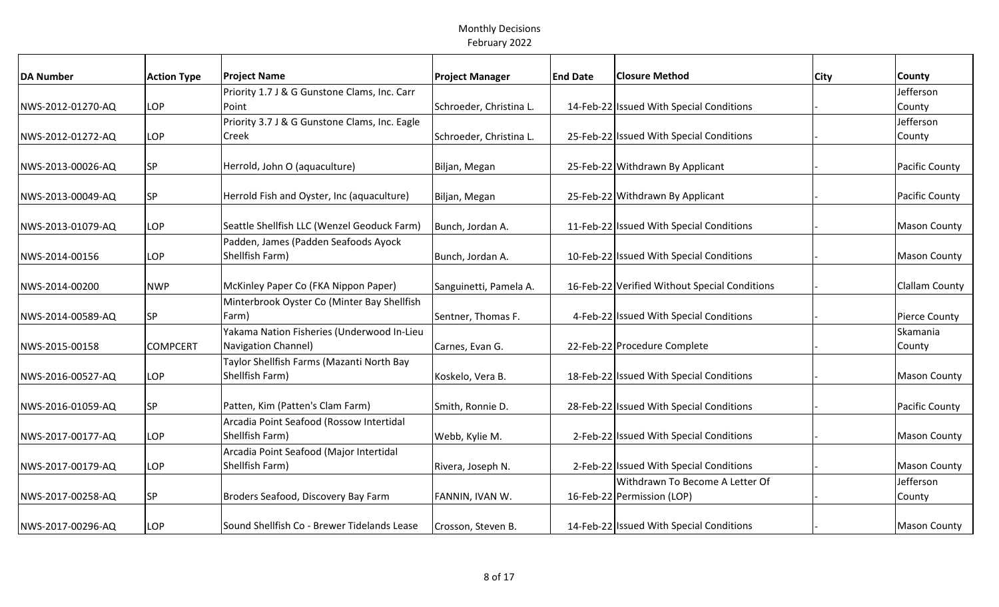| <b>DA Number</b>  | <b>Action Type</b> | <b>Project Name</b>                                         | <b>Project Manager</b>  | <b>End Date</b> | <b>Closure Method</b>                         | <b>City</b> | County               |
|-------------------|--------------------|-------------------------------------------------------------|-------------------------|-----------------|-----------------------------------------------|-------------|----------------------|
|                   |                    | Priority 1.7 J & G Gunstone Clams, Inc. Carr                |                         |                 |                                               |             | Jefferson            |
| NWS-2012-01270-AQ | LOP                | Point                                                       | Schroeder, Christina L. |                 | 14-Feb-22 Issued With Special Conditions      |             | County               |
|                   |                    | Priority 3.7 J & G Gunstone Clams, Inc. Eagle               |                         |                 |                                               |             | Jefferson            |
| NWS-2012-01272-AQ | LOP                | Creek                                                       | Schroeder, Christina L. |                 | 25-Feb-22 Issued With Special Conditions      |             | County               |
| NWS-2013-00026-AQ | <b>SP</b>          | Herrold, John O (aquaculture)                               | Biljan, Megan           |                 | 25-Feb-22 Withdrawn By Applicant              |             | Pacific County       |
|                   |                    |                                                             |                         |                 |                                               |             |                      |
| NWS-2013-00049-AQ | <b>SP</b>          | Herrold Fish and Oyster, Inc (aquaculture)                  | Biljan, Megan           |                 | 25-Feb-22 Withdrawn By Applicant              |             | Pacific County       |
| NWS-2013-01079-AQ | LOP                | Seattle Shellfish LLC (Wenzel Geoduck Farm)                 | Bunch, Jordan A.        |                 | 11-Feb-22 Issued With Special Conditions      |             | <b>Mason County</b>  |
|                   |                    | Padden, James (Padden Seafoods Ayock                        |                         |                 |                                               |             |                      |
| NWS-2014-00156    | <b>LOP</b>         | Shellfish Farm)                                             | Bunch, Jordan A.        |                 | 10-Feb-22 Issued With Special Conditions      |             | <b>Mason County</b>  |
| NWS-2014-00200    | <b>NWP</b>         | McKinley Paper Co (FKA Nippon Paper)                        | Sanguinetti, Pamela A.  |                 | 16-Feb-22 Verified Without Special Conditions |             | Clallam County       |
|                   |                    | Minterbrook Oyster Co (Minter Bay Shellfish                 |                         |                 |                                               |             |                      |
| NWS-2014-00589-AQ | <b>SP</b>          | Farm)                                                       | Sentner, Thomas F.      |                 | 4-Feb-22 Issued With Special Conditions       |             | <b>Pierce County</b> |
|                   |                    | Yakama Nation Fisheries (Underwood In-Lieu                  |                         |                 |                                               |             | Skamania             |
| NWS-2015-00158    | <b>COMPCERT</b>    | <b>Navigation Channel)</b>                                  | Carnes, Evan G.         |                 | 22-Feb-22 Procedure Complete                  |             | County               |
|                   |                    | Taylor Shellfish Farms (Mazanti North Bay                   |                         |                 |                                               |             |                      |
| NWS-2016-00527-AQ | LOP                | Shellfish Farm)                                             | Koskelo, Vera B.        |                 | 18-Feb-22 Issued With Special Conditions      |             | <b>Mason County</b>  |
|                   |                    | Patten, Kim (Patten's Clam Farm)                            |                         |                 | 28-Feb-22 Issued With Special Conditions      |             | Pacific County       |
| NWS-2016-01059-AQ | <b>SP</b>          |                                                             | Smith, Ronnie D.        |                 |                                               |             |                      |
| NWS-2017-00177-AQ | LOP                | Arcadia Point Seafood (Rossow Intertidal<br>Shellfish Farm) | Webb, Kylie M.          |                 | 2-Feb-22 Issued With Special Conditions       |             | <b>Mason County</b>  |
|                   |                    | Arcadia Point Seafood (Major Intertidal                     |                         |                 |                                               |             |                      |
| NWS-2017-00179-AQ | LOP                | Shellfish Farm)                                             | Rivera, Joseph N.       |                 | 2-Feb-22 Issued With Special Conditions       |             | <b>Mason County</b>  |
|                   |                    |                                                             |                         |                 | Withdrawn To Become A Letter Of               |             | Jefferson            |
| NWS-2017-00258-AQ | <b>SP</b>          | Broders Seafood, Discovery Bay Farm                         | FANNIN, IVAN W.         |                 | 16-Feb-22 Permission (LOP)                    |             | County               |
|                   |                    |                                                             |                         |                 |                                               |             |                      |
| NWS-2017-00296-AQ | LOP                | Sound Shellfish Co - Brewer Tidelands Lease                 | Crosson, Steven B.      |                 | 14-Feb-22 Issued With Special Conditions      |             | <b>Mason County</b>  |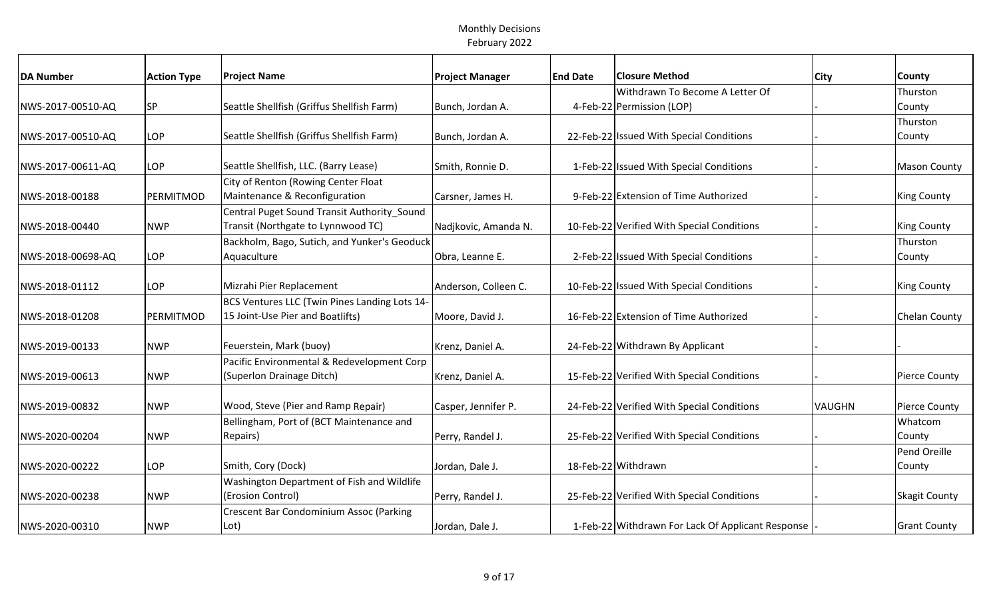| <b>DA Number</b>  | <b>Action Type</b> | <b>Project Name</b>                           | <b>Project Manager</b> | <b>End Date</b> | <b>Closure Method</b>                             | <b>City</b>   | <b>County</b>        |
|-------------------|--------------------|-----------------------------------------------|------------------------|-----------------|---------------------------------------------------|---------------|----------------------|
|                   |                    |                                               |                        |                 | Withdrawn To Become A Letter Of                   |               | Thurston             |
| NWS-2017-00510-AQ | <b>SP</b>          | Seattle Shellfish (Griffus Shellfish Farm)    | Bunch, Jordan A.       |                 | 4-Feb-22 Permission (LOP)                         |               | County               |
|                   |                    |                                               |                        |                 |                                                   |               | Thurston             |
| NWS-2017-00510-AQ | LOP                | Seattle Shellfish (Griffus Shellfish Farm)    | Bunch, Jordan A.       |                 | 22-Feb-22 Issued With Special Conditions          |               | County               |
| NWS-2017-00611-AQ | <b>LOP</b>         | Seattle Shellfish, LLC. (Barry Lease)         | Smith, Ronnie D.       |                 | 1-Feb-22 Issued With Special Conditions           |               | <b>Mason County</b>  |
|                   |                    | City of Renton (Rowing Center Float           |                        |                 |                                                   |               |                      |
| NWS-2018-00188    | PERMITMOD          | Maintenance & Reconfiguration                 | Carsner, James H.      |                 | 9-Feb-22 Extension of Time Authorized             |               | <b>King County</b>   |
|                   |                    | Central Puget Sound Transit Authority Sound   |                        |                 |                                                   |               |                      |
| NWS-2018-00440    | <b>NWP</b>         | Transit (Northgate to Lynnwood TC)            | Nadjkovic, Amanda N.   |                 | 10-Feb-22 Verified With Special Conditions        |               | <b>King County</b>   |
|                   |                    | Backholm, Bago, Sutich, and Yunker's Geoduck  |                        |                 |                                                   |               | Thurston             |
| NWS-2018-00698-AQ | LOP                | Aquaculture                                   | Obra, Leanne E.        |                 | 2-Feb-22 Issued With Special Conditions           |               | County               |
|                   |                    |                                               |                        |                 |                                                   |               |                      |
| NWS-2018-01112    | LOP                | Mizrahi Pier Replacement                      | Anderson, Colleen C.   |                 | 10-Feb-22 Issued With Special Conditions          |               | <b>King County</b>   |
|                   |                    | BCS Ventures LLC (Twin Pines Landing Lots 14- |                        |                 |                                                   |               |                      |
| NWS-2018-01208    | PERMITMOD          | 15 Joint-Use Pier and Boatlifts)              | Moore, David J.        |                 | 16-Feb-22 Extension of Time Authorized            |               | <b>Chelan County</b> |
|                   |                    |                                               |                        |                 |                                                   |               |                      |
| NWS-2019-00133    | <b>NWP</b>         | Feuerstein, Mark (buoy)                       | Krenz, Daniel A.       |                 | 24-Feb-22 Withdrawn By Applicant                  |               |                      |
|                   |                    | Pacific Environmental & Redevelopment Corp    |                        |                 |                                                   |               |                      |
| NWS-2019-00613    | <b>NWP</b>         | (Superlon Drainage Ditch)                     | Krenz, Daniel A.       |                 | 15-Feb-22 Verified With Special Conditions        |               | <b>Pierce County</b> |
| NWS-2019-00832    | <b>NWP</b>         | Wood, Steve (Pier and Ramp Repair)            | Casper, Jennifer P.    |                 | 24-Feb-22 Verified With Special Conditions        | <b>VAUGHN</b> | <b>Pierce County</b> |
|                   |                    | Bellingham, Port of (BCT Maintenance and      |                        |                 |                                                   |               | Whatcom              |
| NWS-2020-00204    | <b>NWP</b>         | Repairs)                                      | Perry, Randel J.       |                 | 25-Feb-22 Verified With Special Conditions        |               | County               |
|                   |                    |                                               |                        |                 |                                                   |               | Pend Oreille         |
| NWS-2020-00222    | <b>LOP</b>         | Smith, Cory (Dock)                            | Jordan, Dale J.        |                 | 18-Feb-22 Withdrawn                               |               | County               |
|                   |                    | Washington Department of Fish and Wildlife    |                        |                 |                                                   |               |                      |
| NWS-2020-00238    | <b>NWP</b>         | (Erosion Control)                             | Perry, Randel J.       |                 | 25-Feb-22 Verified With Special Conditions        |               | <b>Skagit County</b> |
|                   |                    | Crescent Bar Condominium Assoc (Parking       |                        |                 |                                                   |               |                      |
| NWS-2020-00310    | <b>NWP</b>         | Lot)                                          | Jordan, Dale J.        |                 | 1-Feb-22 Withdrawn For Lack Of Applicant Response |               | <b>Grant County</b>  |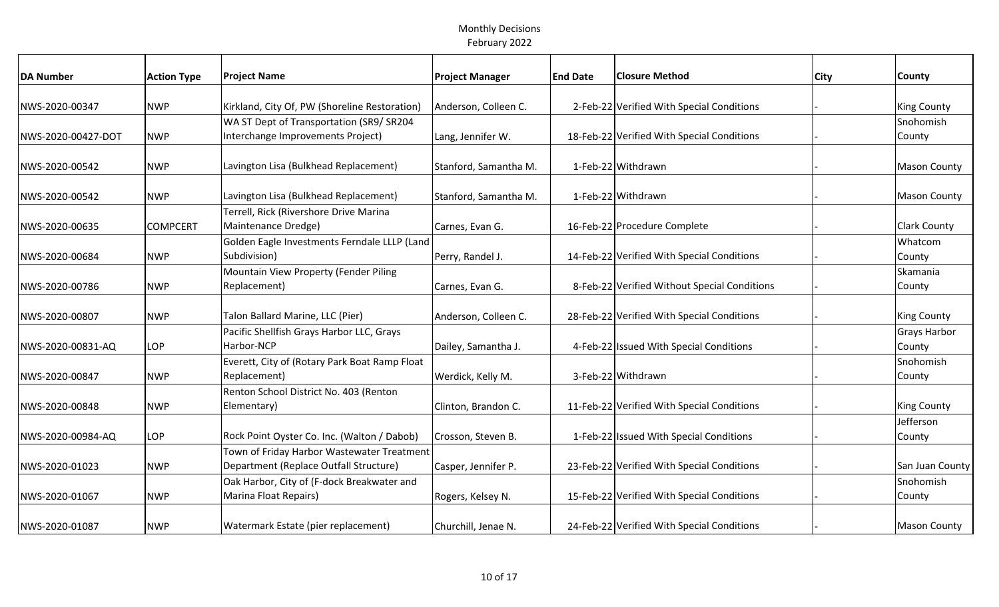| <b>DA Number</b>   | <b>Action Type</b> | <b>Project Name</b>                           | <b>Project Manager</b> | <b>End Date</b> | <b>Closure Method</b>                        | <b>City</b> | <b>County</b>       |
|--------------------|--------------------|-----------------------------------------------|------------------------|-----------------|----------------------------------------------|-------------|---------------------|
|                    |                    |                                               |                        |                 |                                              |             |                     |
| NWS-2020-00347     | <b>NWP</b>         | Kirkland, City Of, PW (Shoreline Restoration) | Anderson, Colleen C.   |                 | 2-Feb-22 Verified With Special Conditions    |             | <b>King County</b>  |
|                    |                    | WA ST Dept of Transportation (SR9/ SR204      |                        |                 |                                              |             | Snohomish           |
| NWS-2020-00427-DOT | <b>NWP</b>         | Interchange Improvements Project)             | Lang, Jennifer W.      |                 | 18-Feb-22 Verified With Special Conditions   |             | County              |
| NWS-2020-00542     | <b>NWP</b>         | Lavington Lisa (Bulkhead Replacement)         | Stanford, Samantha M.  |                 | 1-Feb-22 Withdrawn                           |             | <b>Mason County</b> |
| NWS-2020-00542     | <b>NWP</b>         | Lavington Lisa (Bulkhead Replacement)         | Stanford, Samantha M.  |                 | 1-Feb-22 Withdrawn                           |             | <b>Mason County</b> |
|                    |                    | Terrell, Rick (Rivershore Drive Marina        |                        |                 |                                              |             |                     |
| NWS-2020-00635     | <b>COMPCERT</b>    | Maintenance Dredge)                           | Carnes, Evan G.        |                 | 16-Feb-22 Procedure Complete                 |             | <b>Clark County</b> |
|                    |                    | Golden Eagle Investments Ferndale LLLP (Land  |                        |                 |                                              |             | Whatcom             |
| NWS-2020-00684     | <b>NWP</b>         | Subdivision)                                  | Perry, Randel J.       |                 | 14-Feb-22 Verified With Special Conditions   |             | County              |
|                    |                    | Mountain View Property (Fender Piling         |                        |                 |                                              |             | Skamania            |
| NWS-2020-00786     | <b>NWP</b>         | Replacement)                                  | Carnes, Evan G.        |                 | 8-Feb-22 Verified Without Special Conditions |             | County              |
|                    |                    |                                               |                        |                 |                                              |             |                     |
| NWS-2020-00807     | <b>NWP</b>         | Talon Ballard Marine, LLC (Pier)              | Anderson, Colleen C.   |                 | 28-Feb-22 Verified With Special Conditions   |             | <b>King County</b>  |
|                    |                    | Pacific Shellfish Grays Harbor LLC, Grays     |                        |                 |                                              |             | <b>Grays Harbor</b> |
| NWS-2020-00831-AQ  | LOP                | Harbor-NCP                                    | Dailey, Samantha J.    |                 | 4-Feb-22 Issued With Special Conditions      |             | County              |
|                    |                    | Everett, City of (Rotary Park Boat Ramp Float |                        |                 |                                              |             | Snohomish           |
| NWS-2020-00847     | <b>NWP</b>         | Replacement)                                  | Werdick, Kelly M.      |                 | 3-Feb-22 Withdrawn                           |             | County              |
|                    |                    | Renton School District No. 403 (Renton        |                        |                 |                                              |             |                     |
| NWS-2020-00848     | <b>NWP</b>         | Elementary)                                   | Clinton, Brandon C.    |                 | 11-Feb-22 Verified With Special Conditions   |             | <b>King County</b>  |
|                    |                    |                                               |                        |                 |                                              |             | Jefferson           |
| NWS-2020-00984-AQ  | LOP                | Rock Point Oyster Co. Inc. (Walton / Dabob)   | Crosson, Steven B.     |                 | 1-Feb-22 Issued With Special Conditions      |             | County              |
|                    |                    | Town of Friday Harbor Wastewater Treatment    |                        |                 |                                              |             |                     |
| NWS-2020-01023     | <b>NWP</b>         | Department (Replace Outfall Structure)        | Casper, Jennifer P.    |                 | 23-Feb-22 Verified With Special Conditions   |             | San Juan County     |
|                    |                    | Oak Harbor, City of (F-dock Breakwater and    |                        |                 |                                              |             | Snohomish           |
| NWS-2020-01067     | <b>NWP</b>         | Marina Float Repairs)                         | Rogers, Kelsey N.      |                 | 15-Feb-22 Verified With Special Conditions   |             | County              |
|                    |                    |                                               |                        |                 |                                              |             |                     |
| NWS-2020-01087     | <b>NWP</b>         | Watermark Estate (pier replacement)           | Churchill, Jenae N.    |                 | 24-Feb-22 Verified With Special Conditions   |             | <b>Mason County</b> |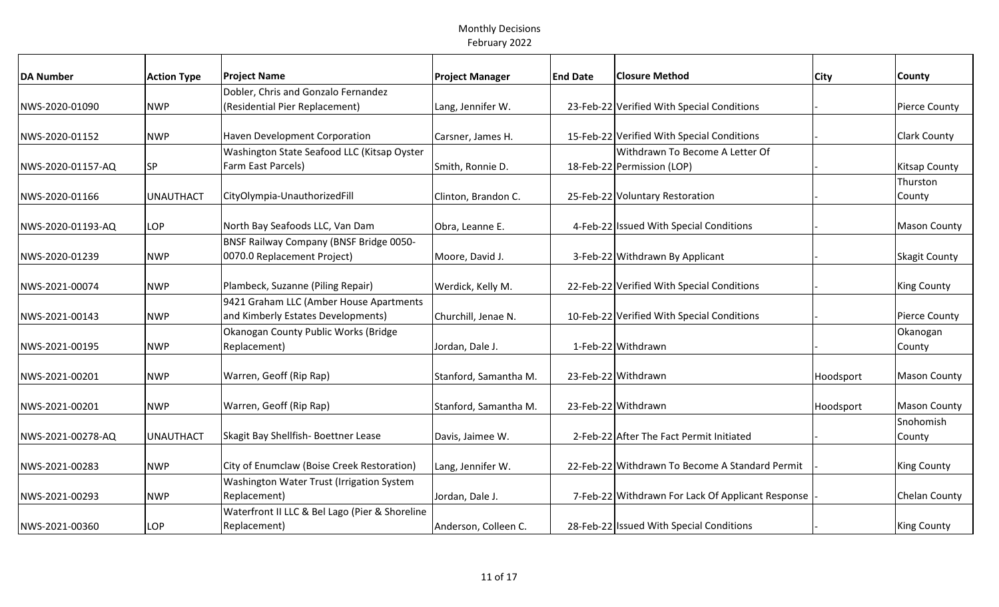| <b>DA Number</b>  | <b>Action Type</b> | <b>Project Name</b>                            | <b>Project Manager</b> | <b>End Date</b> | <b>Closure Method</b>                             | <b>City</b> | <b>County</b>        |
|-------------------|--------------------|------------------------------------------------|------------------------|-----------------|---------------------------------------------------|-------------|----------------------|
|                   |                    | Dobler, Chris and Gonzalo Fernandez            |                        |                 |                                                   |             |                      |
| NWS-2020-01090    | <b>NWP</b>         | (Residential Pier Replacement)                 | Lang, Jennifer W.      |                 | 23-Feb-22 Verified With Special Conditions        |             | Pierce County        |
|                   |                    |                                                |                        |                 |                                                   |             |                      |
| NWS-2020-01152    | <b>NWP</b>         | <b>Haven Development Corporation</b>           | Carsner, James H.      |                 | 15-Feb-22 Verified With Special Conditions        |             | Clark County         |
|                   |                    | Washington State Seafood LLC (Kitsap Oyster    |                        |                 | Withdrawn To Become A Letter Of                   |             |                      |
| NWS-2020-01157-AQ | <b>SP</b>          | Farm East Parcels)                             | Smith, Ronnie D.       |                 | 18-Feb-22 Permission (LOP)                        |             | <b>Kitsap County</b> |
|                   |                    |                                                |                        |                 |                                                   |             | Thurston             |
| NWS-2020-01166    | <b>UNAUTHACT</b>   | CityOlympia-UnauthorizedFill                   | Clinton, Brandon C.    |                 | 25-Feb-22 Voluntary Restoration                   |             | County               |
|                   |                    |                                                |                        |                 |                                                   |             |                      |
| NWS-2020-01193-AQ | LOP                | North Bay Seafoods LLC, Van Dam                | Obra, Leanne E.        |                 | 4-Feb-22 Issued With Special Conditions           |             | <b>Mason County</b>  |
|                   |                    | BNSF Railway Company (BNSF Bridge 0050-        |                        |                 |                                                   |             |                      |
| NWS-2020-01239    | <b>NWP</b>         | 0070.0 Replacement Project)                    | Moore, David J.        |                 | 3-Feb-22 Withdrawn By Applicant                   |             | <b>Skagit County</b> |
|                   |                    |                                                |                        |                 |                                                   |             |                      |
| NWS-2021-00074    | <b>NWP</b>         | Plambeck, Suzanne (Piling Repair)              | Werdick, Kelly M.      |                 | 22-Feb-22 Verified With Special Conditions        |             | <b>King County</b>   |
|                   |                    | 9421 Graham LLC (Amber House Apartments        |                        |                 |                                                   |             |                      |
| NWS-2021-00143    | <b>NWP</b>         | and Kimberly Estates Developments)             | Churchill, Jenae N.    |                 | 10-Feb-22 Verified With Special Conditions        |             | <b>Pierce County</b> |
|                   |                    | Okanogan County Public Works (Bridge           |                        |                 |                                                   |             | Okanogan             |
| NWS-2021-00195    | <b>NWP</b>         | Replacement)                                   | Jordan, Dale J.        |                 | 1-Feb-22 Withdrawn                                |             | County               |
|                   |                    |                                                |                        |                 |                                                   |             |                      |
| NWS-2021-00201    | <b>NWP</b>         | Warren, Geoff (Rip Rap)                        | Stanford, Samantha M.  |                 | 23-Feb-22 Withdrawn                               | Hoodsport   | <b>Mason County</b>  |
|                   |                    |                                                |                        |                 |                                                   |             |                      |
| NWS-2021-00201    | <b>NWP</b>         | Warren, Geoff (Rip Rap)                        | Stanford, Samantha M.  |                 | 23-Feb-22 Withdrawn                               | Hoodsport   | <b>Mason County</b>  |
|                   |                    |                                                |                        |                 |                                                   |             | Snohomish            |
| NWS-2021-00278-AQ | <b>UNAUTHACT</b>   | Skagit Bay Shellfish- Boettner Lease           | Davis, Jaimee W.       |                 | 2-Feb-22 After The Fact Permit Initiated          |             | County               |
|                   |                    |                                                |                        |                 |                                                   |             |                      |
| NWS-2021-00283    | <b>NWP</b>         | City of Enumclaw (Boise Creek Restoration)     | Lang, Jennifer W.      |                 | 22-Feb-22 Withdrawn To Become A Standard Permit   |             | <b>King County</b>   |
|                   |                    | Washington Water Trust (Irrigation System      |                        |                 |                                                   |             |                      |
| NWS-2021-00293    | <b>NWP</b>         | Replacement)                                   | Jordan, Dale J.        |                 | 7-Feb-22 Withdrawn For Lack Of Applicant Response |             | Chelan County        |
|                   |                    | Waterfront II LLC & Bel Lago (Pier & Shoreline |                        |                 |                                                   |             |                      |
| NWS-2021-00360    | <b>LOP</b>         | Replacement)                                   | Anderson, Colleen C.   |                 | 28-Feb-22 Issued With Special Conditions          |             | <b>King County</b>   |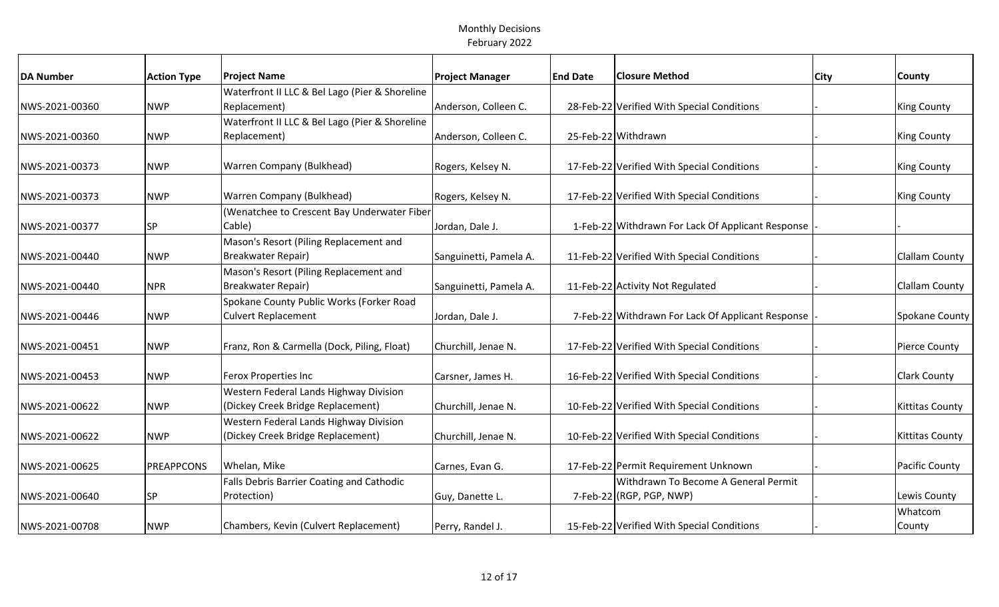| <b>DA Number</b> | <b>Action Type</b> | <b>Project Name</b>                                                         | <b>Project Manager</b> | <b>End Date</b> | <b>Closure Method</b>                             | <b>City</b> | County                 |
|------------------|--------------------|-----------------------------------------------------------------------------|------------------------|-----------------|---------------------------------------------------|-------------|------------------------|
|                  |                    | Waterfront II LLC & Bel Lago (Pier & Shoreline                              |                        |                 |                                                   |             |                        |
| NWS-2021-00360   | <b>NWP</b>         | Replacement)                                                                | Anderson, Colleen C.   |                 | 28-Feb-22 Verified With Special Conditions        |             | <b>King County</b>     |
|                  |                    | Waterfront II LLC & Bel Lago (Pier & Shoreline                              |                        |                 |                                                   |             |                        |
| NWS-2021-00360   | <b>NWP</b>         | Replacement)                                                                | Anderson, Colleen C.   |                 | 25-Feb-22 Withdrawn                               |             | <b>King County</b>     |
| NWS-2021-00373   | <b>NWP</b>         | <b>Warren Company (Bulkhead)</b>                                            | Rogers, Kelsey N.      |                 | 17-Feb-22 Verified With Special Conditions        |             | <b>King County</b>     |
| NWS-2021-00373   | <b>NWP</b>         | Warren Company (Bulkhead)                                                   | Rogers, Kelsey N.      |                 | 17-Feb-22 Verified With Special Conditions        |             | <b>King County</b>     |
|                  |                    | (Wenatchee to Crescent Bay Underwater Fiber                                 |                        |                 |                                                   |             |                        |
| NWS-2021-00377   | <b>SP</b>          | Cable)                                                                      | Jordan, Dale J.        |                 | 1-Feb-22 Withdrawn For Lack Of Applicant Response |             |                        |
|                  |                    | Mason's Resort (Piling Replacement and                                      |                        |                 |                                                   |             |                        |
| NWS-2021-00440   | <b>NWP</b>         | <b>Breakwater Repair)</b>                                                   | Sanguinetti, Pamela A. |                 | 11-Feb-22 Verified With Special Conditions        |             | <b>Clallam County</b>  |
|                  |                    | Mason's Resort (Piling Replacement and                                      |                        |                 |                                                   |             |                        |
| NWS-2021-00440   | <b>NPR</b>         | <b>Breakwater Repair)</b>                                                   | Sanguinetti, Pamela A. |                 | 11-Feb-22 Activity Not Regulated                  |             | Clallam County         |
|                  |                    | Spokane County Public Works (Forker Road                                    |                        |                 |                                                   |             |                        |
| NWS-2021-00446   | <b>NWP</b>         | <b>Culvert Replacement</b>                                                  | Jordan, Dale J.        |                 | 7-Feb-22 Withdrawn For Lack Of Applicant Response |             | Spokane County         |
| NWS-2021-00451   | <b>NWP</b>         | Franz, Ron & Carmella (Dock, Piling, Float)                                 | Churchill, Jenae N.    |                 | 17-Feb-22 Verified With Special Conditions        |             | Pierce County          |
| NWS-2021-00453   | <b>NWP</b>         | <b>Ferox Properties Inc</b>                                                 | Carsner, James H.      |                 | 16-Feb-22 Verified With Special Conditions        |             | Clark County           |
|                  |                    | Western Federal Lands Highway Division                                      |                        |                 |                                                   |             |                        |
| NWS-2021-00622   | <b>NWP</b>         | (Dickey Creek Bridge Replacement)                                           | Churchill, Jenae N.    |                 | 10-Feb-22 Verified With Special Conditions        |             | <b>Kittitas County</b> |
| NWS-2021-00622   | <b>NWP</b>         | Western Federal Lands Highway Division<br>(Dickey Creek Bridge Replacement) | Churchill, Jenae N.    |                 | 10-Feb-22 Verified With Special Conditions        |             | <b>Kittitas County</b> |
|                  |                    |                                                                             |                        |                 |                                                   |             |                        |
| NWS-2021-00625   | <b>PREAPPCONS</b>  | Whelan, Mike                                                                | Carnes, Evan G.        |                 | 17-Feb-22 Permit Requirement Unknown              |             | Pacific County         |
|                  |                    | Falls Debris Barrier Coating and Cathodic                                   |                        |                 | Withdrawn To Become A General Permit              |             |                        |
| NWS-2021-00640   | <b>SP</b>          | Protection)                                                                 | Guy, Danette L.        |                 | 7-Feb-22 (RGP, PGP, NWP)                          |             | Lewis County           |
|                  |                    |                                                                             |                        |                 |                                                   |             | Whatcom                |
| NWS-2021-00708   | <b>NWP</b>         | Chambers, Kevin (Culvert Replacement)                                       | Perry, Randel J.       |                 | 15-Feb-22 Verified With Special Conditions        |             | County                 |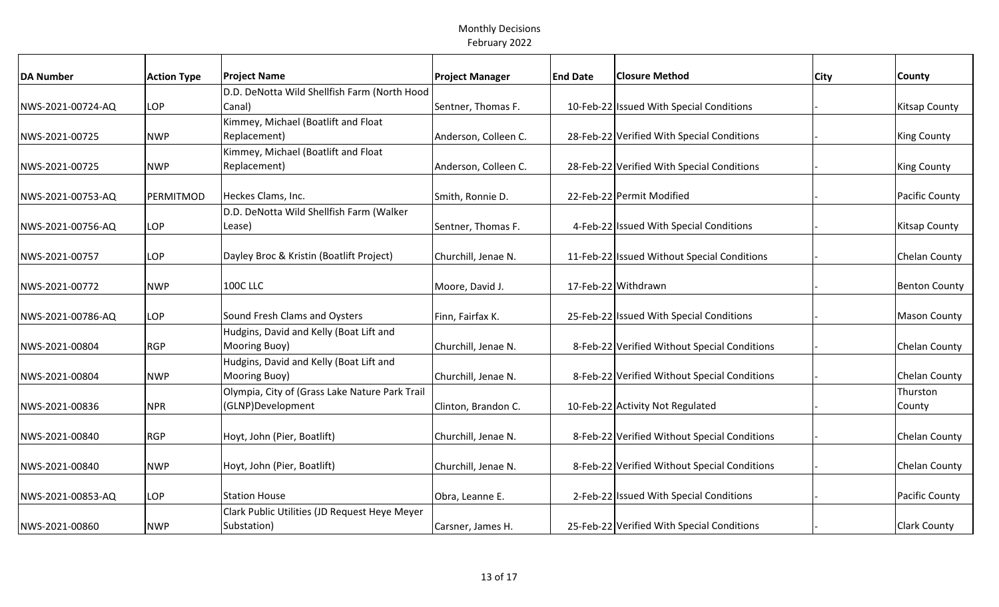| <b>DA Number</b>  | <b>Action Type</b> | <b>Project Name</b>                            | <b>Project Manager</b> | <b>End Date</b> | <b>Closure Method</b>                        | <b>City</b> | County               |
|-------------------|--------------------|------------------------------------------------|------------------------|-----------------|----------------------------------------------|-------------|----------------------|
|                   |                    | D.D. DeNotta Wild Shellfish Farm (North Hood   |                        |                 |                                              |             |                      |
| NWS-2021-00724-AQ | LOP                | Canal)                                         | Sentner, Thomas F.     |                 | 10-Feb-22 Issued With Special Conditions     |             | <b>Kitsap County</b> |
|                   |                    | Kimmey, Michael (Boatlift and Float            |                        |                 |                                              |             |                      |
| NWS-2021-00725    | <b>NWP</b>         | Replacement)                                   | Anderson, Colleen C.   |                 | 28-Feb-22 Verified With Special Conditions   |             | <b>King County</b>   |
|                   |                    | Kimmey, Michael (Boatlift and Float            |                        |                 |                                              |             |                      |
| NWS-2021-00725    | <b>NWP</b>         | Replacement)                                   | Anderson, Colleen C.   |                 | 28-Feb-22 Verified With Special Conditions   |             | <b>King County</b>   |
|                   |                    |                                                |                        |                 |                                              |             |                      |
| NWS-2021-00753-AQ | PERMITMOD          | Heckes Clams, Inc.                             | Smith, Ronnie D.       |                 | 22-Feb-22 Permit Modified                    |             | Pacific County       |
|                   |                    | D.D. DeNotta Wild Shellfish Farm (Walker       |                        |                 |                                              |             |                      |
| NWS-2021-00756-AQ | LOP                | Lease)                                         | Sentner, Thomas F.     |                 | 4-Feb-22 Issued With Special Conditions      |             | <b>Kitsap County</b> |
|                   |                    |                                                |                        |                 |                                              |             |                      |
| NWS-2021-00757    | <b>LOP</b>         | Dayley Broc & Kristin (Boatlift Project)       | Churchill, Jenae N.    |                 | 11-Feb-22 Issued Without Special Conditions  |             | Chelan County        |
|                   |                    |                                                |                        |                 |                                              |             |                      |
| NWS-2021-00772    | <b>NWP</b>         | <b>100C LLC</b>                                | Moore, David J.        |                 | 17-Feb-22 Withdrawn                          |             | <b>Benton County</b> |
|                   |                    |                                                |                        |                 |                                              |             |                      |
| NWS-2021-00786-AQ | LOP                | Sound Fresh Clams and Oysters                  | Finn, Fairfax K.       |                 | 25-Feb-22 Issued With Special Conditions     |             | <b>Mason County</b>  |
|                   |                    | Hudgins, David and Kelly (Boat Lift and        |                        |                 |                                              |             |                      |
| NWS-2021-00804    | <b>RGP</b>         | Mooring Buoy)                                  | Churchill, Jenae N.    |                 | 8-Feb-22 Verified Without Special Conditions |             | Chelan County        |
|                   |                    | Hudgins, David and Kelly (Boat Lift and        |                        |                 |                                              |             |                      |
| NWS-2021-00804    | <b>NWP</b>         | Mooring Buoy)                                  | Churchill, Jenae N.    |                 | 8-Feb-22 Verified Without Special Conditions |             | Chelan County        |
|                   |                    | Olympia, City of (Grass Lake Nature Park Trail |                        |                 |                                              |             | Thurston             |
| NWS-2021-00836    | <b>NPR</b>         | (GLNP)Development                              | Clinton, Brandon C.    |                 | 10-Feb-22 Activity Not Regulated             |             | County               |
|                   |                    |                                                |                        |                 |                                              |             |                      |
| NWS-2021-00840    | <b>RGP</b>         | Hoyt, John (Pier, Boatlift)                    | Churchill, Jenae N.    |                 | 8-Feb-22 Verified Without Special Conditions |             | Chelan County        |
|                   |                    |                                                |                        |                 |                                              |             |                      |
| NWS-2021-00840    | <b>NWP</b>         | Hoyt, John (Pier, Boatlift)                    | Churchill, Jenae N.    |                 | 8-Feb-22 Verified Without Special Conditions |             | Chelan County        |
|                   |                    |                                                |                        |                 |                                              |             |                      |
| NWS-2021-00853-AQ | LOP                | <b>Station House</b>                           | Obra, Leanne E.        |                 | 2-Feb-22 Issued With Special Conditions      |             | Pacific County       |
|                   |                    | Clark Public Utilities (JD Request Heye Meyer  |                        |                 |                                              |             |                      |
| NWS-2021-00860    | <b>NWP</b>         | Substation)                                    | Carsner, James H.      |                 | 25-Feb-22 Verified With Special Conditions   |             | <b>Clark County</b>  |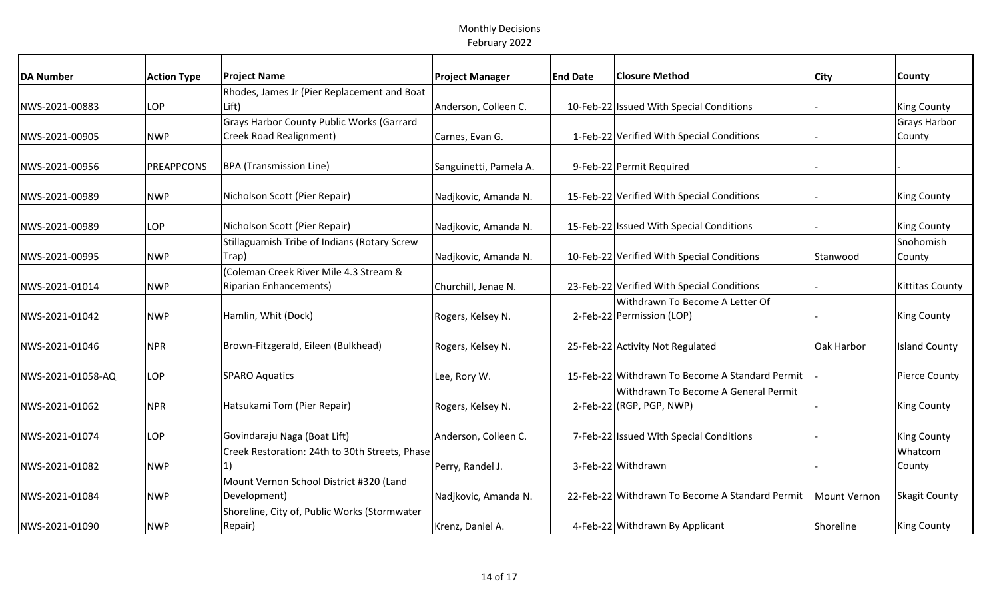| <b>DA Number</b>  | <b>Action Type</b> | <b>Project Name</b>                            | <b>Project Manager</b> | <b>End Date</b> | <b>Closure Method</b>                           | City         | County                 |
|-------------------|--------------------|------------------------------------------------|------------------------|-----------------|-------------------------------------------------|--------------|------------------------|
|                   |                    | Rhodes, James Jr (Pier Replacement and Boat    |                        |                 |                                                 |              |                        |
| NWS-2021-00883    | <b>LOP</b>         | Lift)                                          | Anderson, Colleen C.   |                 | 10-Feb-22 Issued With Special Conditions        |              | <b>King County</b>     |
|                   |                    | Grays Harbor County Public Works (Garrard      |                        |                 |                                                 |              | Grays Harbor           |
| NWS-2021-00905    | <b>NWP</b>         | Creek Road Realignment)                        | Carnes, Evan G.        |                 | 1-Feb-22 Verified With Special Conditions       |              | County                 |
|                   |                    |                                                |                        |                 |                                                 |              |                        |
| NWS-2021-00956    | PREAPPCONS         | <b>BPA</b> (Transmission Line)                 | Sanguinetti, Pamela A. |                 | 9-Feb-22 Permit Required                        |              |                        |
|                   |                    |                                                |                        |                 |                                                 |              |                        |
| NWS-2021-00989    | <b>NWP</b>         | Nicholson Scott (Pier Repair)                  | Nadjkovic, Amanda N.   |                 | 15-Feb-22 Verified With Special Conditions      |              | <b>King County</b>     |
|                   |                    |                                                |                        |                 |                                                 |              |                        |
| NWS-2021-00989    | <b>LOP</b>         | Nicholson Scott (Pier Repair)                  | Nadjkovic, Amanda N.   |                 | 15-Feb-22 Issued With Special Conditions        |              | <b>King County</b>     |
|                   |                    | Stillaguamish Tribe of Indians (Rotary Screw   |                        |                 |                                                 |              | Snohomish              |
| NWS-2021-00995    | <b>NWP</b>         | Trap)                                          | Nadjkovic, Amanda N.   |                 | 10-Feb-22 Verified With Special Conditions      | Stanwood     | County                 |
|                   |                    | (Coleman Creek River Mile 4.3 Stream &         |                        |                 |                                                 |              |                        |
| NWS-2021-01014    | <b>NWP</b>         | <b>Riparian Enhancements)</b>                  | Churchill, Jenae N.    |                 | 23-Feb-22 Verified With Special Conditions      |              | <b>Kittitas County</b> |
|                   |                    |                                                |                        |                 | Withdrawn To Become A Letter Of                 |              |                        |
| NWS-2021-01042    | <b>NWP</b>         | Hamlin, Whit (Dock)                            | Rogers, Kelsey N.      |                 | 2-Feb-22 Permission (LOP)                       |              | <b>King County</b>     |
|                   |                    |                                                |                        |                 |                                                 |              |                        |
| NWS-2021-01046    | <b>NPR</b>         | Brown-Fitzgerald, Eileen (Bulkhead)            | Rogers, Kelsey N.      |                 | 25-Feb-22 Activity Not Regulated                | Oak Harbor   | <b>Island County</b>   |
|                   |                    |                                                |                        |                 |                                                 |              |                        |
| NWS-2021-01058-AQ | LOP                | <b>SPARO Aquatics</b>                          | Lee, Rory W.           |                 | 15-Feb-22 Withdrawn To Become A Standard Permit |              | <b>Pierce County</b>   |
|                   |                    |                                                |                        |                 | Withdrawn To Become A General Permit            |              |                        |
| NWS-2021-01062    | <b>NPR</b>         | Hatsukami Tom (Pier Repair)                    | Rogers, Kelsey N.      |                 | $2$ -Feb-22 (RGP, PGP, NWP)                     |              | <b>King County</b>     |
|                   |                    |                                                |                        |                 |                                                 |              |                        |
| NWS-2021-01074    | LOP                | Govindaraju Naga (Boat Lift)                   | Anderson, Colleen C.   |                 | 7-Feb-22 Issued With Special Conditions         |              | <b>King County</b>     |
|                   |                    | Creek Restoration: 24th to 30th Streets, Phase |                        |                 |                                                 |              | Whatcom                |
| NWS-2021-01082    | <b>NWP</b>         |                                                | Perry, Randel J.       |                 | 3-Feb-22 Withdrawn                              |              | County                 |
|                   |                    | Mount Vernon School District #320 (Land        |                        |                 |                                                 |              |                        |
| NWS-2021-01084    | <b>NWP</b>         | Development)                                   | Nadjkovic, Amanda N.   |                 | 22-Feb-22 Withdrawn To Become A Standard Permit | Mount Vernon | <b>Skagit County</b>   |
|                   |                    | Shoreline, City of, Public Works (Stormwater   |                        |                 |                                                 |              |                        |
| NWS-2021-01090    | <b>NWP</b>         | Repair)                                        | Krenz, Daniel A.       |                 | 4-Feb-22 Withdrawn By Applicant                 | Shoreline    | <b>King County</b>     |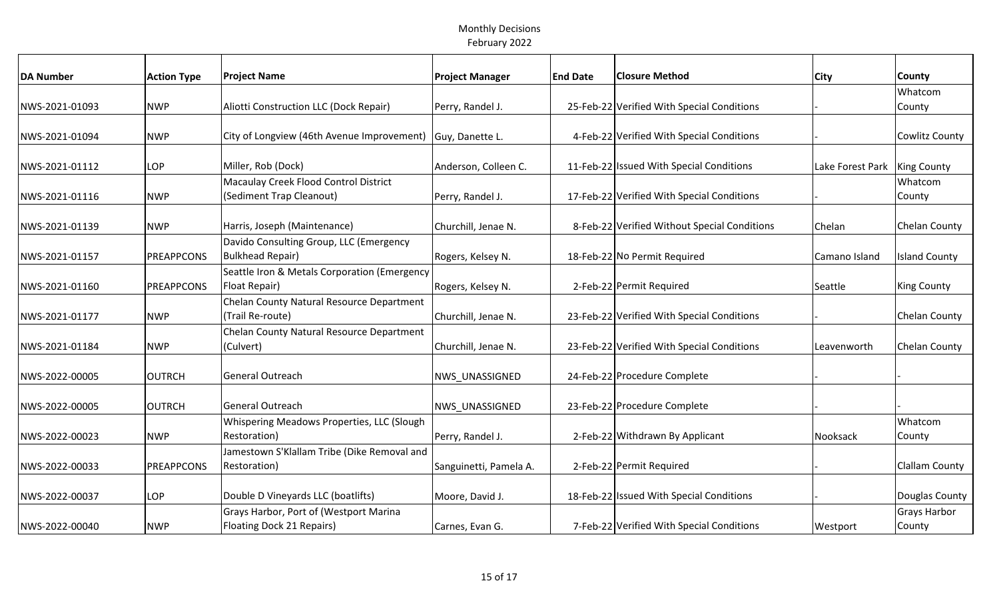| <b>DA Number</b> | <b>Action Type</b> | <b>Project Name</b>                          | <b>Project Manager</b> | <b>End Date</b> | <b>Closure Method</b>                        | City             | County                |
|------------------|--------------------|----------------------------------------------|------------------------|-----------------|----------------------------------------------|------------------|-----------------------|
|                  |                    |                                              |                        |                 |                                              |                  | Whatcom               |
| NWS-2021-01093   | <b>NWP</b>         | Aliotti Construction LLC (Dock Repair)       | Perry, Randel J.       |                 | 25-Feb-22 Verified With Special Conditions   |                  | County                |
|                  |                    |                                              |                        |                 |                                              |                  |                       |
| NWS-2021-01094   | <b>NWP</b>         | City of Longview (46th Avenue Improvement)   | Guy, Danette L.        |                 | 4-Feb-22 Verified With Special Conditions    |                  | Cowlitz County        |
|                  |                    |                                              |                        |                 |                                              |                  |                       |
| NWS-2021-01112   | LOP                | Miller, Rob (Dock)                           | Anderson, Colleen C.   |                 | 11-Feb-22 Issued With Special Conditions     | Lake Forest Park | <b>King County</b>    |
|                  |                    | Macaulay Creek Flood Control District        |                        |                 |                                              |                  | Whatcom               |
| NWS-2021-01116   | <b>NWP</b>         | (Sediment Trap Cleanout)                     | Perry, Randel J.       |                 | 17-Feb-22 Verified With Special Conditions   |                  | County                |
|                  |                    |                                              |                        |                 |                                              |                  |                       |
| NWS-2021-01139   | <b>NWP</b>         | Harris, Joseph (Maintenance)                 | Churchill, Jenae N.    |                 | 8-Feb-22 Verified Without Special Conditions | Chelan           | Chelan County         |
|                  |                    | Davido Consulting Group, LLC (Emergency      |                        |                 |                                              |                  |                       |
| NWS-2021-01157   | <b>PREAPPCONS</b>  | <b>Bulkhead Repair)</b>                      | Rogers, Kelsey N.      |                 | 18-Feb-22 No Permit Required                 | Camano Island    | <b>Island County</b>  |
|                  |                    | Seattle Iron & Metals Corporation (Emergency |                        |                 |                                              |                  |                       |
| NWS-2021-01160   | <b>PREAPPCONS</b>  | Float Repair)                                | Rogers, Kelsey N.      |                 | 2-Feb-22 Permit Required                     | Seattle          | <b>King County</b>    |
|                  |                    | Chelan County Natural Resource Department    |                        |                 |                                              |                  |                       |
| NWS-2021-01177   | <b>NWP</b>         | (Trail Re-route)                             | Churchill, Jenae N.    |                 | 23-Feb-22 Verified With Special Conditions   |                  | Chelan County         |
|                  |                    | Chelan County Natural Resource Department    |                        |                 |                                              |                  |                       |
| NWS-2021-01184   | <b>NWP</b>         | (Culvert)                                    | Churchill, Jenae N.    |                 | 23-Feb-22 Verified With Special Conditions   | Leavenworth      | Chelan County         |
|                  |                    |                                              |                        |                 |                                              |                  |                       |
| NWS-2022-00005   | <b>OUTRCH</b>      | <b>General Outreach</b>                      | <b>NWS UNASSIGNED</b>  |                 | 24-Feb-22 Procedure Complete                 |                  |                       |
|                  |                    |                                              |                        |                 |                                              |                  |                       |
| NWS-2022-00005   | <b>OUTRCH</b>      | General Outreach                             | <b>NWS UNASSIGNED</b>  |                 | 23-Feb-22 Procedure Complete                 |                  |                       |
|                  |                    | Whispering Meadows Properties, LLC (Slough   |                        |                 |                                              |                  | Whatcom               |
| NWS-2022-00023   | <b>NWP</b>         | Restoration)                                 | Perry, Randel J.       |                 | 2-Feb-22 Withdrawn By Applicant              | Nooksack         | County                |
|                  |                    | Jamestown S'Klallam Tribe (Dike Removal and  |                        |                 |                                              |                  |                       |
| NWS-2022-00033   | <b>PREAPPCONS</b>  | Restoration)                                 | Sanguinetti, Pamela A. |                 | 2-Feb-22 Permit Required                     |                  | <b>Clallam County</b> |
|                  |                    |                                              |                        |                 |                                              |                  |                       |
| NWS-2022-00037   | LOP                | Double D Vineyards LLC (boatlifts)           | Moore, David J.        |                 | 18-Feb-22 Issued With Special Conditions     |                  | Douglas County        |
|                  |                    | Grays Harbor, Port of (Westport Marina       |                        |                 |                                              |                  | Grays Harbor          |
| NWS-2022-00040   | <b>NWP</b>         | Floating Dock 21 Repairs)                    | Carnes, Evan G.        |                 | 7-Feb-22 Verified With Special Conditions    | Westport         | County                |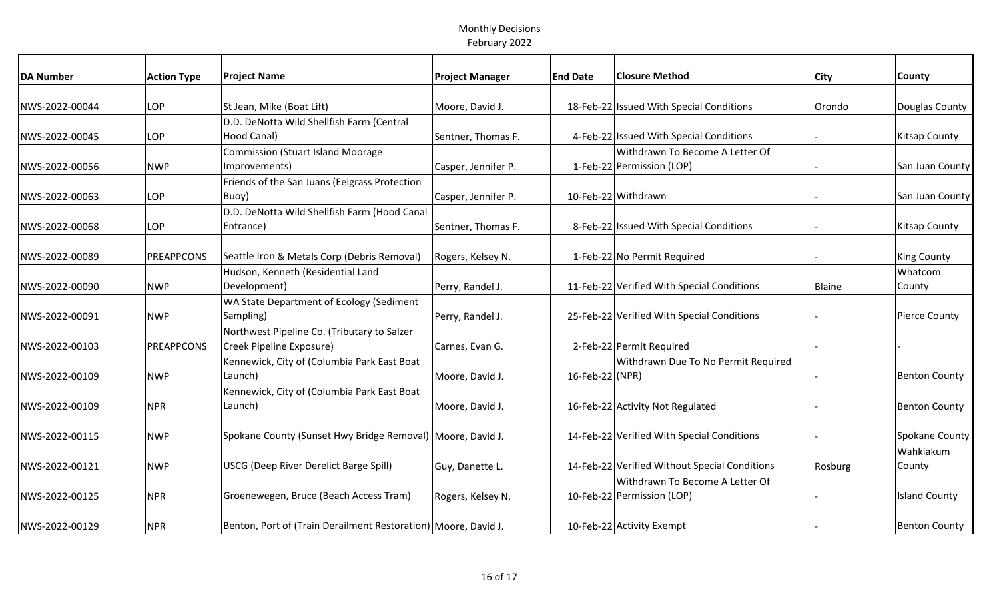| <b>DA Number</b> | <b>Action Type</b> | <b>Project Name</b>                                              | <b>Project Manager</b> | <b>End Date</b> | <b>Closure Method</b>                         | <b>City</b> | County               |
|------------------|--------------------|------------------------------------------------------------------|------------------------|-----------------|-----------------------------------------------|-------------|----------------------|
|                  |                    |                                                                  |                        |                 |                                               |             |                      |
| NWS-2022-00044   | <b>LOP</b>         | St Jean, Mike (Boat Lift)                                        | Moore, David J.        |                 | 18-Feb-22 Issued With Special Conditions      | Orondo      | Douglas County       |
|                  |                    | D.D. DeNotta Wild Shellfish Farm (Central                        |                        |                 |                                               |             |                      |
| NWS-2022-00045   | <b>LOP</b>         | Hood Canal)                                                      | Sentner, Thomas F.     |                 | 4-Feb-22 Issued With Special Conditions       |             | Kitsap County        |
|                  |                    | <b>Commission (Stuart Island Moorage</b>                         |                        |                 | Withdrawn To Become A Letter Of               |             |                      |
| NWS-2022-00056   | <b>NWP</b>         | Improvements)                                                    | Casper, Jennifer P.    |                 | 1-Feb-22 Permission (LOP)                     |             | San Juan County      |
|                  |                    | Friends of the San Juans (Eelgrass Protection                    |                        |                 |                                               |             |                      |
| NWS-2022-00063   | LOP                | Buoy)                                                            | Casper, Jennifer P.    |                 | 10-Feb-22 Withdrawn                           |             | San Juan County      |
|                  |                    | D.D. DeNotta Wild Shellfish Farm (Hood Canal                     |                        |                 |                                               |             |                      |
| NWS-2022-00068   | LOP                | Entrance)                                                        | Sentner, Thomas F.     |                 | 8-Feb-22 Issued With Special Conditions       |             | <b>Kitsap County</b> |
|                  |                    |                                                                  |                        |                 |                                               |             |                      |
| NWS-2022-00089   | PREAPPCONS         | Seattle Iron & Metals Corp (Debris Removal)                      | Rogers, Kelsey N.      |                 | 1-Feb-22 No Permit Required                   |             | <b>King County</b>   |
|                  |                    | Hudson, Kenneth (Residential Land                                |                        |                 |                                               |             | Whatcom              |
| NWS-2022-00090   | <b>NWP</b>         | Development)                                                     | Perry, Randel J.       |                 | 11-Feb-22 Verified With Special Conditions    | Blaine      | County               |
|                  |                    | WA State Department of Ecology (Sediment                         |                        |                 |                                               |             |                      |
| NWS-2022-00091   | <b>NWP</b>         | Sampling)                                                        | Perry, Randel J.       |                 | 25-Feb-22 Verified With Special Conditions    |             | Pierce County        |
|                  |                    | Northwest Pipeline Co. (Tributary to Salzer                      |                        |                 |                                               |             |                      |
| NWS-2022-00103   | PREAPPCONS         | Creek Pipeline Exposure)                                         | Carnes, Evan G.        |                 | 2-Feb-22 Permit Required                      |             |                      |
|                  |                    | Kennewick, City of (Columbia Park East Boat                      |                        |                 | Withdrawn Due To No Permit Required           |             |                      |
| NWS-2022-00109   | <b>NWP</b>         | Launch)                                                          | Moore, David J.        | 16-Feb-22 (NPR) |                                               |             | <b>Benton County</b> |
|                  |                    | Kennewick, City of (Columbia Park East Boat                      |                        |                 |                                               |             |                      |
| NWS-2022-00109   | <b>NPR</b>         | Launch)                                                          | Moore, David J.        |                 | 16-Feb-22 Activity Not Regulated              |             | <b>Benton County</b> |
|                  |                    |                                                                  |                        |                 |                                               |             |                      |
| NWS-2022-00115   | <b>NWP</b>         | Spokane County (Sunset Hwy Bridge Removal)   Moore, David J.     |                        |                 | 14-Feb-22 Verified With Special Conditions    |             | Spokane County       |
|                  |                    |                                                                  |                        |                 |                                               |             | Wahkiakum            |
| NWS-2022-00121   | <b>NWP</b>         | USCG (Deep River Derelict Barge Spill)                           | Guy, Danette L.        |                 | 14-Feb-22 Verified Without Special Conditions | Rosburg     | County               |
|                  |                    |                                                                  |                        |                 | Withdrawn To Become A Letter Of               |             |                      |
| NWS-2022-00125   | <b>NPR</b>         | Groenewegen, Bruce (Beach Access Tram)                           | Rogers, Kelsey N.      |                 | 10-Feb-22 Permission (LOP)                    |             | <b>Island County</b> |
|                  |                    |                                                                  |                        |                 |                                               |             |                      |
| NWS-2022-00129   | <b>NPR</b>         | Benton, Port of (Train Derailment Restoration)   Moore, David J. |                        |                 | 10-Feb-22 Activity Exempt                     |             | <b>Benton County</b> |